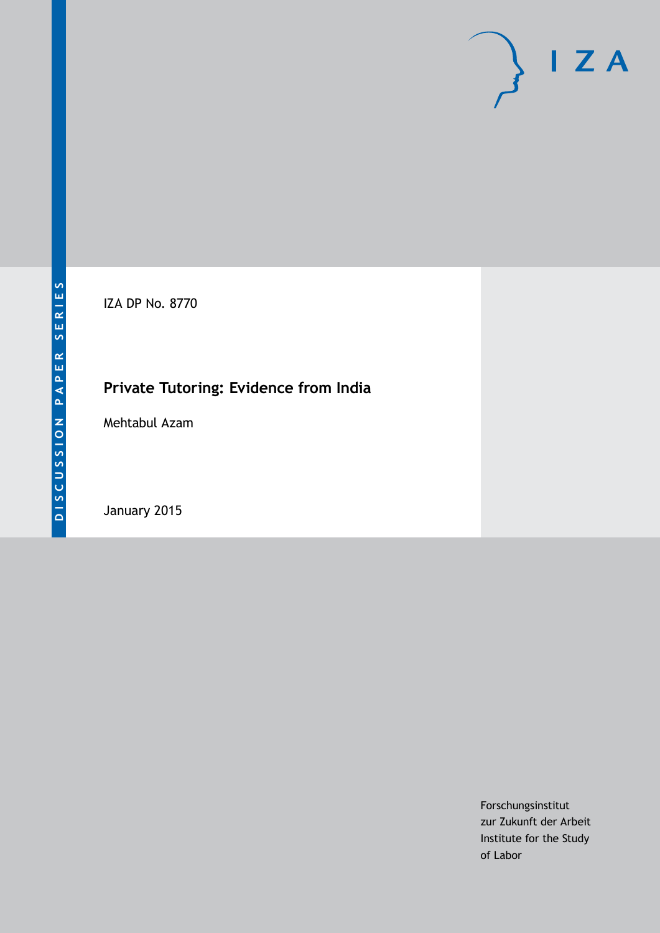IZA DP No. 8770

# **Private Tutoring: Evidence from India**

Mehtabul Azam

January 2015

Forschungsinstitut zur Zukunft der Arbeit Institute for the Study of Labor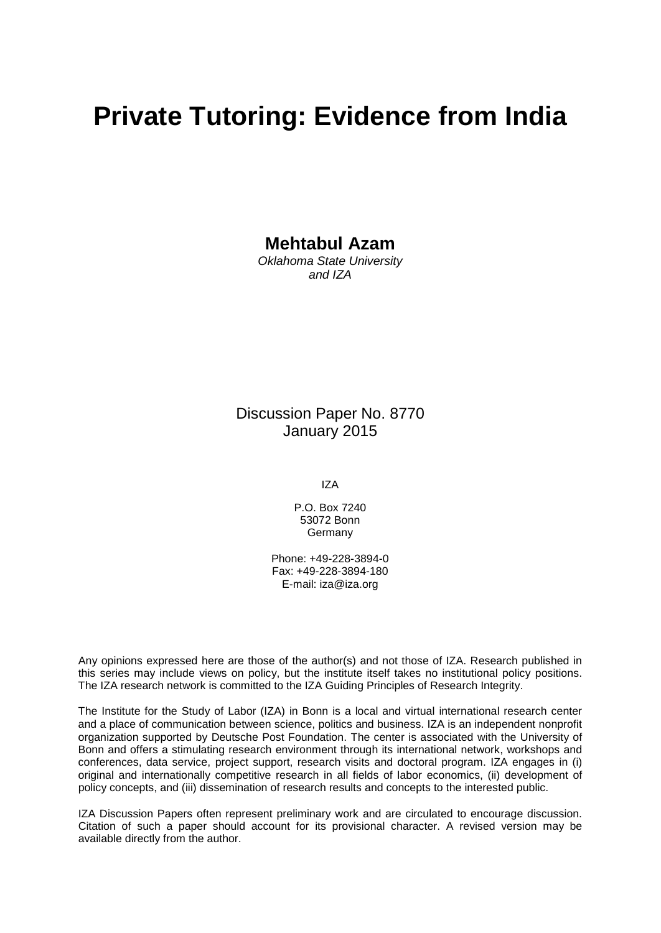# **Private Tutoring: Evidence from India**

### **Mehtabul Azam**

*Oklahoma State University and IZA*

### Discussion Paper No. 8770 January 2015

IZA

P.O. Box 7240 53072 Bonn Germany

Phone: +49-228-3894-0 Fax: +49-228-3894-180 E-mail: [iza@iza.org](mailto:iza@iza.org)

Any opinions expressed here are those of the author(s) and not those of IZA. Research published in this series may include views on policy, but the institute itself takes no institutional policy positions. The IZA research network is committed to the IZA Guiding Principles of Research Integrity.

The Institute for the Study of Labor (IZA) in Bonn is a local and virtual international research center and a place of communication between science, politics and business. IZA is an independent nonprofit organization supported by Deutsche Post Foundation. The center is associated with the University of Bonn and offers a stimulating research environment through its international network, workshops and conferences, data service, project support, research visits and doctoral program. IZA engages in (i) original and internationally competitive research in all fields of labor economics, (ii) development of policy concepts, and (iii) dissemination of research results and concepts to the interested public.

IZA Discussion Papers often represent preliminary work and are circulated to encourage discussion. Citation of such a paper should account for its provisional character. A revised version may be available directly from the author.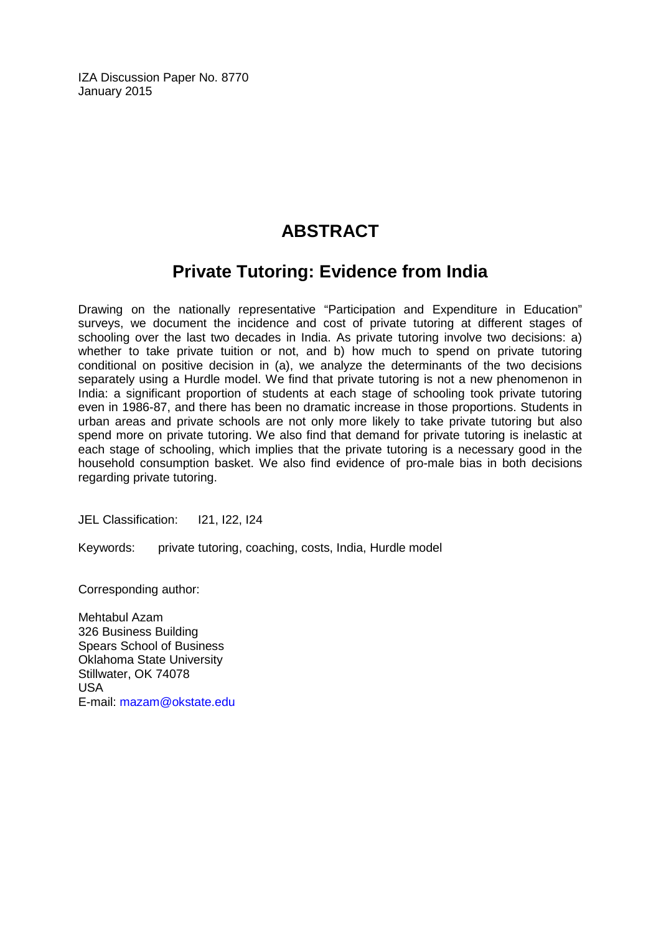IZA Discussion Paper No. 8770 January 2015

# **ABSTRACT**

# **Private Tutoring: Evidence from India**

Drawing on the nationally representative "Participation and Expenditure in Education" surveys, we document the incidence and cost of private tutoring at different stages of schooling over the last two decades in India. As private tutoring involve two decisions: a) whether to take private tuition or not, and b) how much to spend on private tutoring conditional on positive decision in (a), we analyze the determinants of the two decisions separately using a Hurdle model. We find that private tutoring is not a new phenomenon in India: a significant proportion of students at each stage of schooling took private tutoring even in 1986-87, and there has been no dramatic increase in those proportions. Students in urban areas and private schools are not only more likely to take private tutoring but also spend more on private tutoring. We also find that demand for private tutoring is inelastic at each stage of schooling, which implies that the private tutoring is a necessary good in the household consumption basket. We also find evidence of pro-male bias in both decisions regarding private tutoring.

JEL Classification: I21, I22, I24

Keywords: private tutoring, coaching, costs, India, Hurdle model

Corresponding author:

Mehtabul Azam 326 Business Building Spears School of Business Oklahoma State University Stillwater, OK 74078 USA E-mail: [mazam@okstate.edu](mailto:mazam@okstate.edu)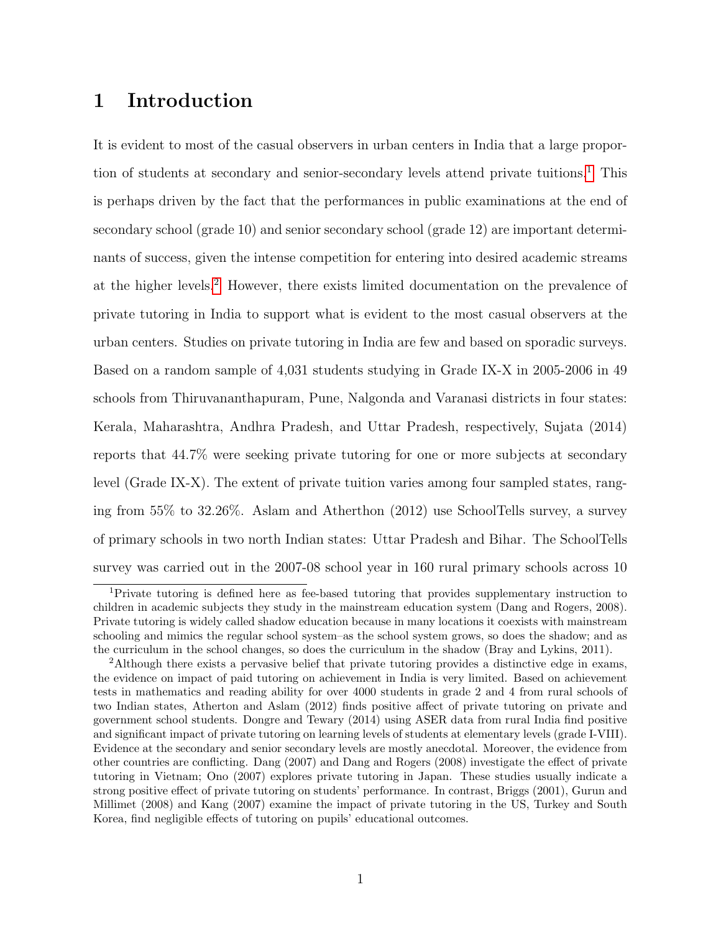# 1 Introduction

It is evident to most of the casual observers in urban centers in India that a large propor-tion of students at secondary and senior-secondary levels attend private tuitions.<sup>[1](#page-3-0)</sup> This is perhaps driven by the fact that the performances in public examinations at the end of secondary school (grade 10) and senior secondary school (grade 12) are important determinants of success, given the intense competition for entering into desired academic streams at the higher levels.[2](#page-3-1) However, there exists limited documentation on the prevalence of private tutoring in India to support what is evident to the most casual observers at the urban centers. Studies on private tutoring in India are few and based on sporadic surveys. Based on a random sample of 4,031 students studying in Grade IX-X in 2005-2006 in 49 schools from Thiruvananthapuram, Pune, Nalgonda and Varanasi districts in four states: Kerala, Maharashtra, Andhra Pradesh, and Uttar Pradesh, respectively, Sujata (2014) reports that 44.7% were seeking private tutoring for one or more subjects at secondary level (Grade IX-X). The extent of private tuition varies among four sampled states, ranging from 55% to 32.26%. Aslam and Atherthon (2012) use SchoolTells survey, a survey of primary schools in two north Indian states: Uttar Pradesh and Bihar. The SchoolTells survey was carried out in the 2007-08 school year in 160 rural primary schools across 10

<span id="page-3-0"></span><sup>1</sup>Private tutoring is defined here as fee-based tutoring that provides supplementary instruction to children in academic subjects they study in the mainstream education system (Dang and Rogers, 2008). Private tutoring is widely called shadow education because in many locations it coexists with mainstream schooling and mimics the regular school system–as the school system grows, so does the shadow; and as the curriculum in the school changes, so does the curriculum in the shadow (Bray and Lykins, 2011).

<span id="page-3-1"></span><sup>2</sup>Although there exists a pervasive belief that private tutoring provides a distinctive edge in exams, the evidence on impact of paid tutoring on achievement in India is very limited. Based on achievement tests in mathematics and reading ability for over 4000 students in grade 2 and 4 from rural schools of two Indian states, Atherton and Aslam (2012) finds positive affect of private tutoring on private and government school students. Dongre and Tewary (2014) using ASER data from rural India find positive and significant impact of private tutoring on learning levels of students at elementary levels (grade I-VIII). Evidence at the secondary and senior secondary levels are mostly anecdotal. Moreover, the evidence from other countries are conflicting. Dang (2007) and Dang and Rogers (2008) investigate the effect of private tutoring in Vietnam; Ono (2007) explores private tutoring in Japan. These studies usually indicate a strong positive effect of private tutoring on students' performance. In contrast, Briggs (2001), Gurun and Millimet (2008) and Kang (2007) examine the impact of private tutoring in the US, Turkey and South Korea, find negligible effects of tutoring on pupils' educational outcomes.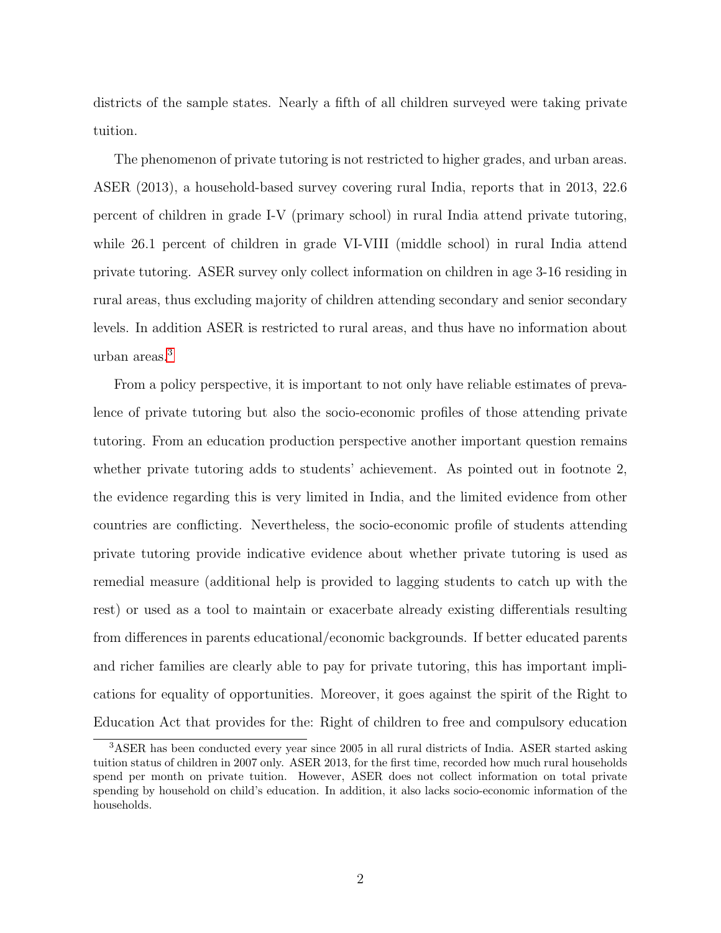districts of the sample states. Nearly a fifth of all children surveyed were taking private tuition.

The phenomenon of private tutoring is not restricted to higher grades, and urban areas. ASER (2013), a household-based survey covering rural India, reports that in 2013, 22.6 percent of children in grade I-V (primary school) in rural India attend private tutoring, while 26.1 percent of children in grade VI-VIII (middle school) in rural India attend private tutoring. ASER survey only collect information on children in age 3-16 residing in rural areas, thus excluding majority of children attending secondary and senior secondary levels. In addition ASER is restricted to rural areas, and thus have no information about urban areas.[3](#page-4-0)

From a policy perspective, it is important to not only have reliable estimates of prevalence of private tutoring but also the socio-economic profiles of those attending private tutoring. From an education production perspective another important question remains whether private tutoring adds to students' achievement. As pointed out in footnote 2, the evidence regarding this is very limited in India, and the limited evidence from other countries are conflicting. Nevertheless, the socio-economic profile of students attending private tutoring provide indicative evidence about whether private tutoring is used as remedial measure (additional help is provided to lagging students to catch up with the rest) or used as a tool to maintain or exacerbate already existing differentials resulting from differences in parents educational/economic backgrounds. If better educated parents and richer families are clearly able to pay for private tutoring, this has important implications for equality of opportunities. Moreover, it goes against the spirit of the Right to Education Act that provides for the: Right of children to free and compulsory education

<span id="page-4-0"></span><sup>&</sup>lt;sup>3</sup>ASER has been conducted every year since 2005 in all rural districts of India. ASER started asking tuition status of children in 2007 only. ASER 2013, for the first time, recorded how much rural households spend per month on private tuition. However, ASER does not collect information on total private spending by household on child's education. In addition, it also lacks socio-economic information of the households.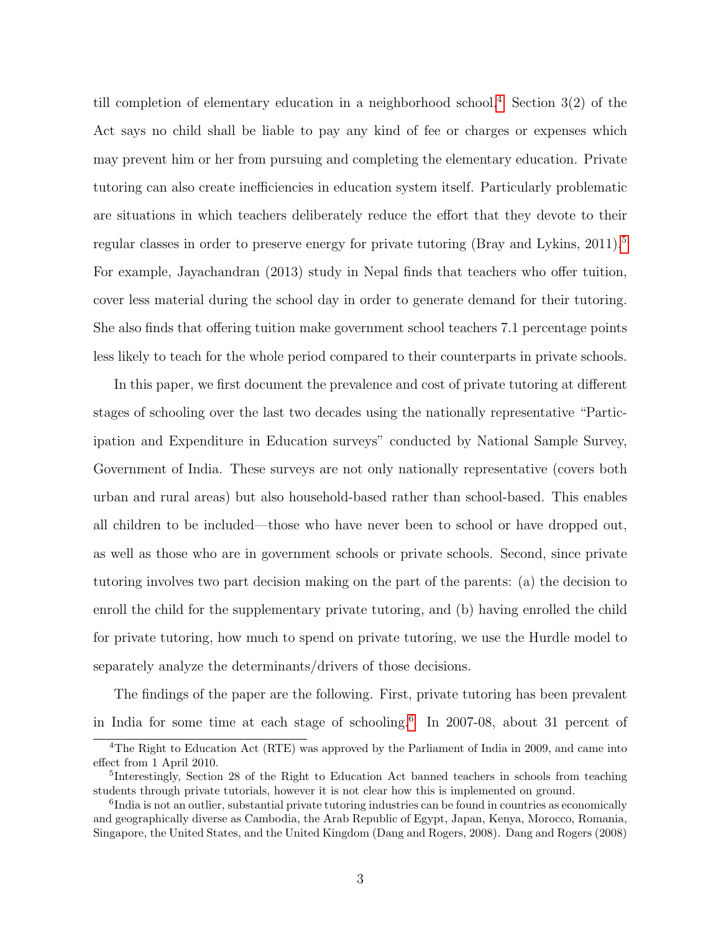till completion of elementary education in a neighborhood school.<sup>[4](#page-5-0)</sup> Section  $3(2)$  of the Act says no child shall be liable to pay any kind of fee or charges or expenses which may prevent him or her from pursuing and completing the elementary education. Private tutoring can also create inefficiencies in education system itself. Particularly problematic are situations in which teachers deliberately reduce the effort that they devote to their regular classes in order to preserve energy for private tutoring (Bray and Lykins,  $2011$ ).<sup>[5](#page-5-1)</sup> For example, Jayachandran (2013) study in Nepal finds that teachers who offer tuition, cover less material during the school day in order to generate demand for their tutoring. She also finds that offering tuition make government school teachers 7.1 percentage points less likely to teach for the whole period compared to their counterparts in private schools.

In this paper, we first document the prevalence and cost of private tutoring at different stages of schooling over the last two decades using the nationally representative "Participation and Expenditure in Education surveys" conducted by National Sample Survey, Government of India. These surveys are not only nationally representative (covers both urban and rural areas) but also household-based rather than school-based. This enables all children to be included—those who have never been to school or have dropped out, as well as those who are in government schools or private schools. Second, since private tutoring involves two part decision making on the part of the parents: (a) the decision to enroll the child for the supplementary private tutoring, and (b) having enrolled the child for private tutoring, how much to spend on private tutoring, we use the Hurdle model to separately analyze the determinants/drivers of those decisions.

The findings of the paper are the following. First, private tutoring has been prevalent in India for some time at each stage of schooling.[6](#page-5-2) In 2007-08, about 31 percent of

<span id="page-5-0"></span><sup>&</sup>lt;sup>4</sup>The Right to Education Act (RTE) was approved by the Parliament of India in 2009, and came into effect from 1 April 2010.

<span id="page-5-1"></span><sup>&</sup>lt;sup>5</sup>Interestingly, Section 28 of the Right to Education Act banned teachers in schools from teaching students through private tutorials, however it is not clear how this is implemented on ground.

<span id="page-5-2"></span><sup>&</sup>lt;sup>6</sup>India is not an outlier, substantial private tutoring industries can be found in countries as economically and geographically diverse as Cambodia, the Arab Republic of Egypt, Japan, Kenya, Morocco, Romania, Singapore, the United States, and the United Kingdom (Dang and Rogers, 2008). Dang and Rogers (2008)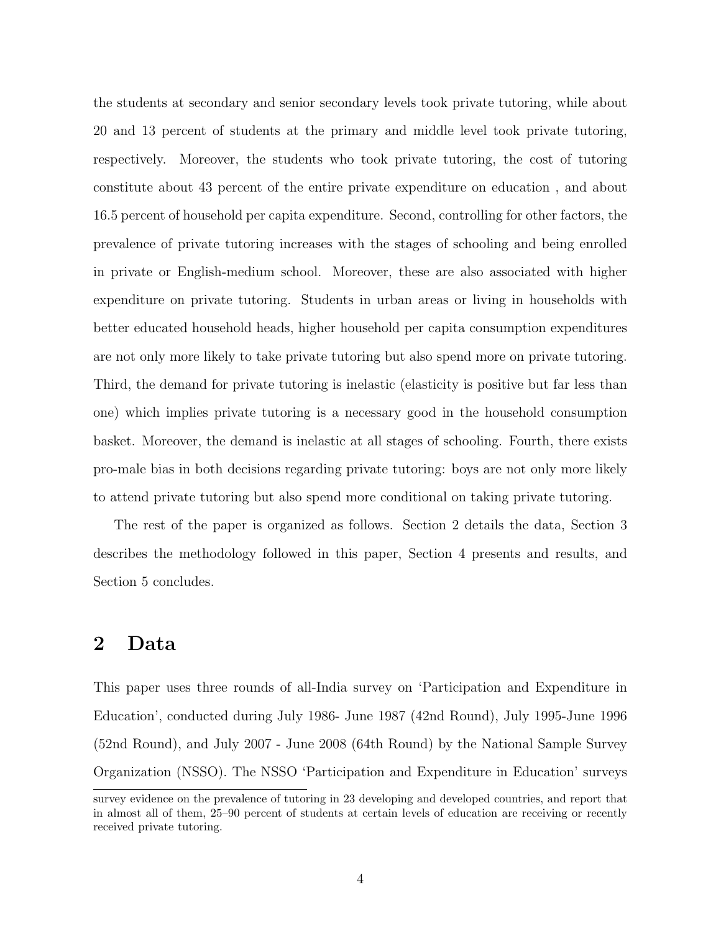the students at secondary and senior secondary levels took private tutoring, while about 20 and 13 percent of students at the primary and middle level took private tutoring, respectively. Moreover, the students who took private tutoring, the cost of tutoring constitute about 43 percent of the entire private expenditure on education , and about 16.5 percent of household per capita expenditure. Second, controlling for other factors, the prevalence of private tutoring increases with the stages of schooling and being enrolled in private or English-medium school. Moreover, these are also associated with higher expenditure on private tutoring. Students in urban areas or living in households with better educated household heads, higher household per capita consumption expenditures are not only more likely to take private tutoring but also spend more on private tutoring. Third, the demand for private tutoring is inelastic (elasticity is positive but far less than one) which implies private tutoring is a necessary good in the household consumption basket. Moreover, the demand is inelastic at all stages of schooling. Fourth, there exists pro-male bias in both decisions regarding private tutoring: boys are not only more likely to attend private tutoring but also spend more conditional on taking private tutoring.

The rest of the paper is organized as follows. Section 2 details the data, Section 3 describes the methodology followed in this paper, Section 4 presents and results, and Section 5 concludes.

### 2 Data

This paper uses three rounds of all-India survey on 'Participation and Expenditure in Education', conducted during July 1986- June 1987 (42nd Round), July 1995-June 1996 (52nd Round), and July 2007 - June 2008 (64th Round) by the National Sample Survey Organization (NSSO). The NSSO 'Participation and Expenditure in Education' surveys

survey evidence on the prevalence of tutoring in 23 developing and developed countries, and report that in almost all of them, 25–90 percent of students at certain levels of education are receiving or recently received private tutoring.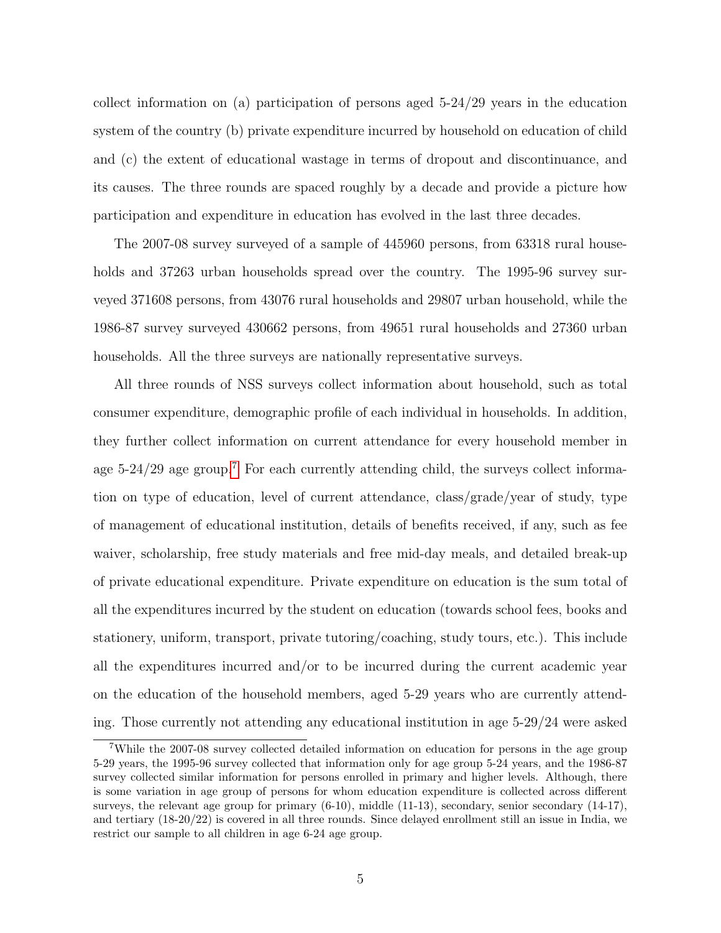collect information on (a) participation of persons aged 5-24/29 years in the education system of the country (b) private expenditure incurred by household on education of child and (c) the extent of educational wastage in terms of dropout and discontinuance, and its causes. The three rounds are spaced roughly by a decade and provide a picture how participation and expenditure in education has evolved in the last three decades.

The 2007-08 survey surveyed of a sample of 445960 persons, from 63318 rural households and 37263 urban households spread over the country. The 1995-96 survey surveyed 371608 persons, from 43076 rural households and 29807 urban household, while the 1986-87 survey surveyed 430662 persons, from 49651 rural households and 27360 urban households. All the three surveys are nationally representative surveys.

All three rounds of NSS surveys collect information about household, such as total consumer expenditure, demographic profile of each individual in households. In addition, they further collect information on current attendance for every household member in age 5-24/29 age group.<sup>[7](#page-7-0)</sup> For each currently attending child, the surveys collect information on type of education, level of current attendance, class/grade/year of study, type of management of educational institution, details of benefits received, if any, such as fee waiver, scholarship, free study materials and free mid-day meals, and detailed break-up of private educational expenditure. Private expenditure on education is the sum total of all the expenditures incurred by the student on education (towards school fees, books and stationery, uniform, transport, private tutoring/coaching, study tours, etc.). This include all the expenditures incurred and/or to be incurred during the current academic year on the education of the household members, aged 5-29 years who are currently attending. Those currently not attending any educational institution in age 5-29/24 were asked

<span id="page-7-0"></span><sup>7</sup>While the 2007-08 survey collected detailed information on education for persons in the age group 5-29 years, the 1995-96 survey collected that information only for age group 5-24 years, and the 1986-87 survey collected similar information for persons enrolled in primary and higher levels. Although, there is some variation in age group of persons for whom education expenditure is collected across different surveys, the relevant age group for primary  $(6-10)$ , middle  $(11-13)$ , secondary, senior secondary  $(14-17)$ , and tertiary (18-20/22) is covered in all three rounds. Since delayed enrollment still an issue in India, we restrict our sample to all children in age 6-24 age group.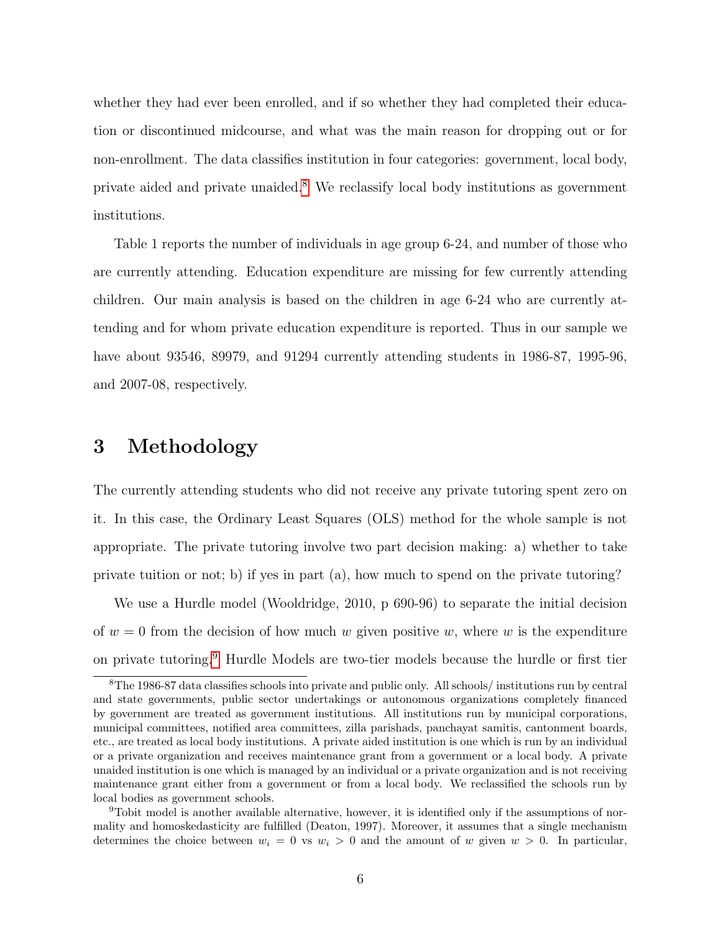whether they had ever been enrolled, and if so whether they had completed their education or discontinued midcourse, and what was the main reason for dropping out or for non-enrollment. The data classifies institution in four categories: government, local body, private aided and private unaided.[8](#page-8-0) We reclassify local body institutions as government institutions.

Table 1 reports the number of individuals in age group 6-24, and number of those who are currently attending. Education expenditure are missing for few currently attending children. Our main analysis is based on the children in age 6-24 who are currently attending and for whom private education expenditure is reported. Thus in our sample we have about 93546, 89979, and 91294 currently attending students in 1986-87, 1995-96, and 2007-08, respectively.

### 3 Methodology

The currently attending students who did not receive any private tutoring spent zero on it. In this case, the Ordinary Least Squares (OLS) method for the whole sample is not appropriate. The private tutoring involve two part decision making: a) whether to take private tuition or not; b) if yes in part (a), how much to spend on the private tutoring?

We use a Hurdle model (Wooldridge, 2010, p 690-96) to separate the initial decision of  $w = 0$  from the decision of how much w given positive w, where w is the expenditure on private tutoring.[9](#page-8-1) Hurdle Models are two-tier models because the hurdle or first tier

<span id="page-8-0"></span><sup>8</sup>The 1986-87 data classifies schools into private and public only. All schools/ institutions run by central and state governments, public sector undertakings or autonomous organizations completely financed by government are treated as government institutions. All institutions run by municipal corporations, municipal committees, notified area committees, zilla parishads, panchayat samitis, cantonment boards, etc., are treated as local body institutions. A private aided institution is one which is run by an individual or a private organization and receives maintenance grant from a government or a local body. A private unaided institution is one which is managed by an individual or a private organization and is not receiving maintenance grant either from a government or from a local body. We reclassified the schools run by local bodies as government schools.

<span id="page-8-1"></span><sup>9</sup>Tobit model is another available alternative, however, it is identified only if the assumptions of normality and homoskedasticity are fulfilled (Deaton, 1997). Moreover, it assumes that a single mechanism determines the choice between  $w_i = 0$  vs  $w_i > 0$  and the amount of w given  $w > 0$ . In particular,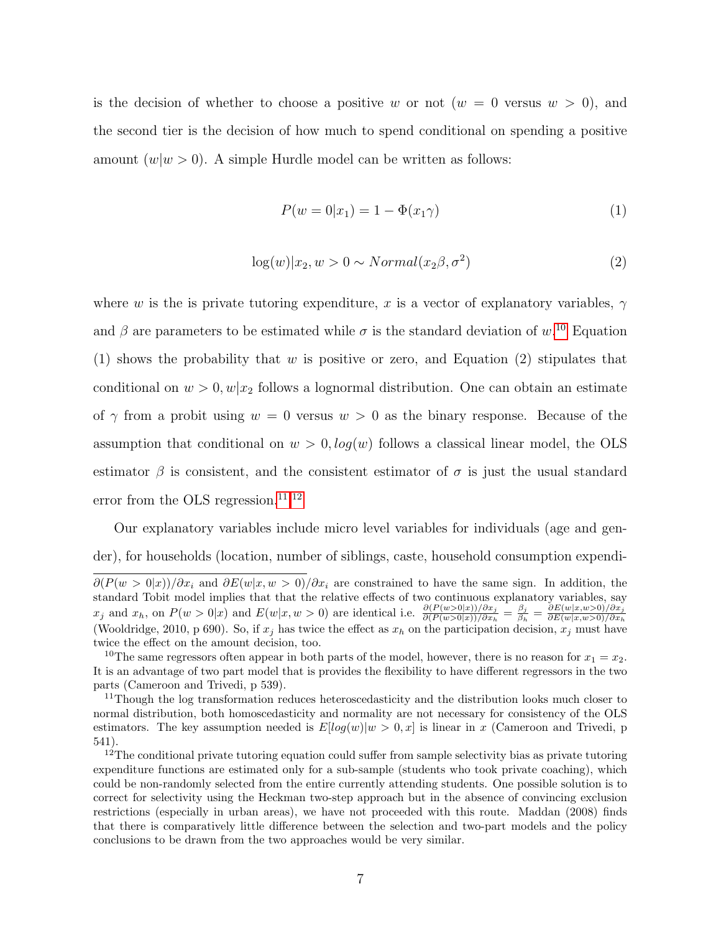is the decision of whether to choose a positive w or not  $(w = 0$  versus  $w > 0$ , and the second tier is the decision of how much to spend conditional on spending a positive amount  $(w|w > 0)$ . A simple Hurdle model can be written as follows:

$$
P(w = 0|x_1) = 1 - \Phi(x_1 \gamma)
$$
\n(1)

$$
\log(w)|x_2, w > 0 \sim Normal(x_2\beta, \sigma^2)
$$
\n(2)

where w is the is private tutoring expenditure, x is a vector of explanatory variables,  $\gamma$ and  $\beta$  are parameters to be estimated while  $\sigma$  is the standard deviation of  $w$ <sup>[10](#page-9-0)</sup> Equation (1) shows the probability that w is positive or zero, and Equation (2) stipulates that conditional on  $w > 0, w|x_2$  follows a lognormal distribution. One can obtain an estimate of  $\gamma$  from a probit using  $w = 0$  versus  $w > 0$  as the binary response. Because of the assumption that conditional on  $w > 0$ ,  $log(w)$  follows a classical linear model, the OLS estimator  $\beta$  is consistent, and the consistent estimator of  $\sigma$  is just the usual standard error from the OLS regression.<sup>[11](#page-9-1),[12](#page-9-2)</sup>

Our explanatory variables include micro level variables for individuals (age and gender), for households (location, number of siblings, caste, household consumption expendi-

 $\partial (P(w > 0|x))/\partial x_i$  and  $\partial E(w|x, w > 0)/\partial x_i$  are constrained to have the same sign. In addition, the standard Tobit model implies that that the relative effects of two continuous explanatory variables, say  $x_j$  and  $x_h$ , on  $P(w > 0|x)$  and  $E(w|x, w > 0)$  are identical i.e.  $\frac{\partial (P(w>0|x))/\partial x_j}{\partial (P(w>0|x))/\partial x_h} = \frac{\beta_j}{\beta_h}$  $\frac{\beta_j}{\beta_h} = \frac{\partial E(w|x,w>0)/\partial x_j}{\partial E(w|x,w>0)/\partial x_h}$  $\partial_{\xi} \partial_{\xi} \text{ and } x_h$ , on  $T(u > 0|x)$  and  $D(u|x, w > 0)$  are identical i.e.  $\partial(P(w>0|x))/\partial x_h = \beta_h = \partial E(w|x, w>0)/\partial x_h$ .<br>(Wooldridge, 2010, p 690). So, if  $x_j$  has twice the effect as  $x_h$  on the participation decision,  $x_j$  must have twice the effect on the amount decision, too.

<span id="page-9-0"></span><sup>&</sup>lt;sup>10</sup>The same regressors often appear in both parts of the model, however, there is no reason for  $x_1 = x_2$ . It is an advantage of two part model that is provides the flexibility to have different regressors in the two parts (Cameroon and Trivedi, p 539).

<span id="page-9-1"></span><sup>&</sup>lt;sup>11</sup>Though the log transformation reduces heteroscedasticity and the distribution looks much closer to normal distribution, both homoscedasticity and normality are not necessary for consistency of the OLS estimators. The key assumption needed is  $E[log(w)|w > 0, x]$  is linear in x (Cameroon and Trivedi, p 541).

<span id="page-9-2"></span><sup>&</sup>lt;sup>12</sup>The conditional private tutoring equation could suffer from sample selectivity bias as private tutoring expenditure functions are estimated only for a sub-sample (students who took private coaching), which could be non-randomly selected from the entire currently attending students. One possible solution is to correct for selectivity using the Heckman two-step approach but in the absence of convincing exclusion restrictions (especially in urban areas), we have not proceeded with this route. Maddan (2008) finds that there is comparatively little difference between the selection and two-part models and the policy conclusions to be drawn from the two approaches would be very similar.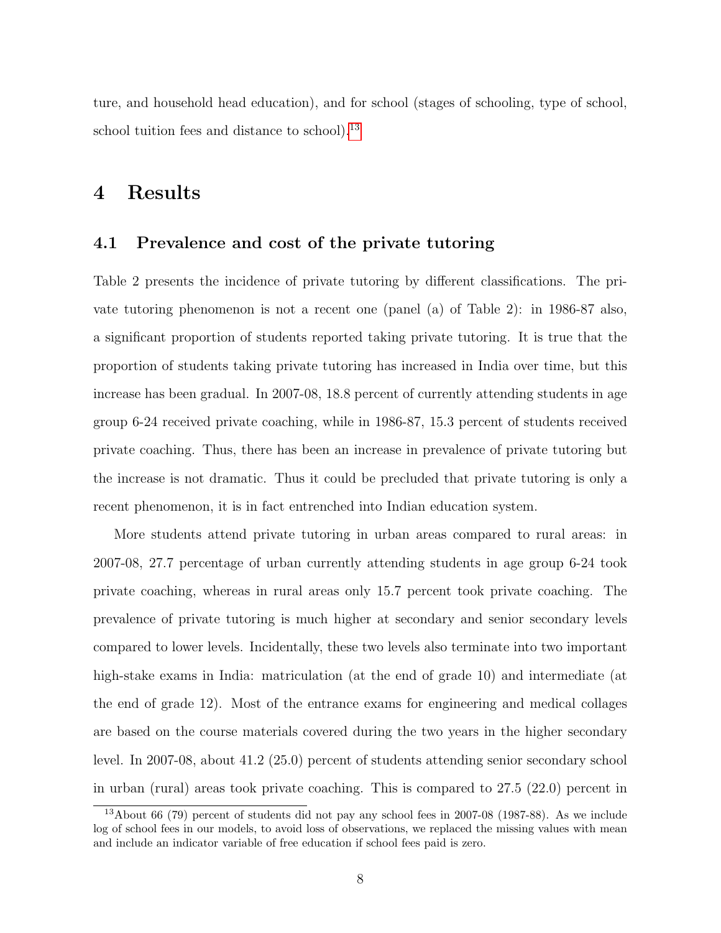ture, and household head education), and for school (stages of schooling, type of school, school tuition fees and distance to school).<sup>[13](#page-10-0)</sup>

### 4 Results

#### 4.1 Prevalence and cost of the private tutoring

Table 2 presents the incidence of private tutoring by different classifications. The private tutoring phenomenon is not a recent one (panel (a) of Table 2): in 1986-87 also, a significant proportion of students reported taking private tutoring. It is true that the proportion of students taking private tutoring has increased in India over time, but this increase has been gradual. In 2007-08, 18.8 percent of currently attending students in age group 6-24 received private coaching, while in 1986-87, 15.3 percent of students received private coaching. Thus, there has been an increase in prevalence of private tutoring but the increase is not dramatic. Thus it could be precluded that private tutoring is only a recent phenomenon, it is in fact entrenched into Indian education system.

More students attend private tutoring in urban areas compared to rural areas: in 2007-08, 27.7 percentage of urban currently attending students in age group 6-24 took private coaching, whereas in rural areas only 15.7 percent took private coaching. The prevalence of private tutoring is much higher at secondary and senior secondary levels compared to lower levels. Incidentally, these two levels also terminate into two important high-stake exams in India: matriculation (at the end of grade 10) and intermediate (at the end of grade 12). Most of the entrance exams for engineering and medical collages are based on the course materials covered during the two years in the higher secondary level. In 2007-08, about 41.2 (25.0) percent of students attending senior secondary school in urban (rural) areas took private coaching. This is compared to 27.5 (22.0) percent in

<span id="page-10-0"></span><sup>&</sup>lt;sup>13</sup>About 66 (79) percent of students did not pay any school fees in 2007-08 (1987-88). As we include log of school fees in our models, to avoid loss of observations, we replaced the missing values with mean and include an indicator variable of free education if school fees paid is zero.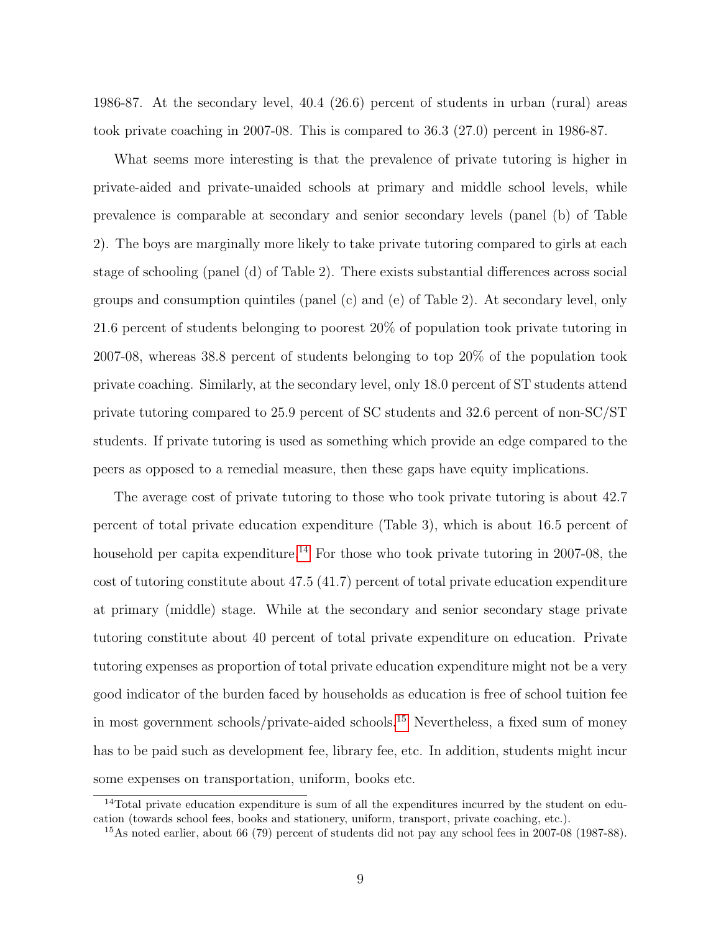1986-87. At the secondary level, 40.4 (26.6) percent of students in urban (rural) areas took private coaching in 2007-08. This is compared to 36.3 (27.0) percent in 1986-87.

What seems more interesting is that the prevalence of private tutoring is higher in private-aided and private-unaided schools at primary and middle school levels, while prevalence is comparable at secondary and senior secondary levels (panel (b) of Table 2). The boys are marginally more likely to take private tutoring compared to girls at each stage of schooling (panel (d) of Table 2). There exists substantial differences across social groups and consumption quintiles (panel (c) and (e) of Table 2). At secondary level, only 21.6 percent of students belonging to poorest 20% of population took private tutoring in 2007-08, whereas 38.8 percent of students belonging to top 20% of the population took private coaching. Similarly, at the secondary level, only 18.0 percent of ST students attend private tutoring compared to 25.9 percent of SC students and 32.6 percent of non-SC/ST students. If private tutoring is used as something which provide an edge compared to the peers as opposed to a remedial measure, then these gaps have equity implications.

The average cost of private tutoring to those who took private tutoring is about 42.7 percent of total private education expenditure (Table 3), which is about 16.5 percent of household per capita expenditure.<sup>[14](#page-11-0)</sup> For those who took private tutoring in 2007-08, the cost of tutoring constitute about 47.5 (41.7) percent of total private education expenditure at primary (middle) stage. While at the secondary and senior secondary stage private tutoring constitute about 40 percent of total private expenditure on education. Private tutoring expenses as proportion of total private education expenditure might not be a very good indicator of the burden faced by households as education is free of school tuition fee in most government schools/private-aided schools.[15](#page-11-1) Nevertheless, a fixed sum of money has to be paid such as development fee, library fee, etc. In addition, students might incur some expenses on transportation, uniform, books etc.

<span id="page-11-0"></span><sup>&</sup>lt;sup>14</sup>Total private education expenditure is sum of all the expenditures incurred by the student on education (towards school fees, books and stationery, uniform, transport, private coaching, etc.).

<span id="page-11-1"></span><sup>15</sup>As noted earlier, about 66 (79) percent of students did not pay any school fees in 2007-08 (1987-88).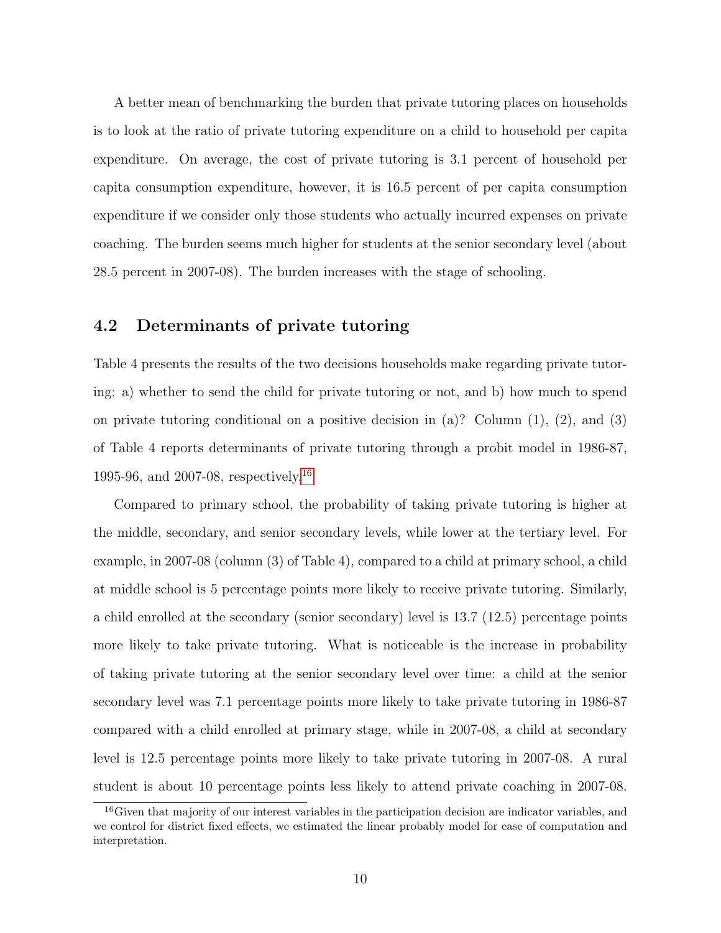A better mean of benchmarking the burden that private tutoring places on households is to look at the ratio of private tutoring expenditure on a child to household per capita expenditure. On average, the cost of private tutoring is 3.1 percent of household per capita consumption expenditure, however, it is 16.5 percent of per capita consumption expenditure if we consider only those students who actually incurred expenses on private coaching. The burden seems much higher for students at the senior secondary level (about 28.5 percent in 2007-08). The burden increases with the stage of schooling.

### 4.2 Determinants of private tutoring

Table 4 presents the results of the two decisions households make regarding private tutoring: a) whether to send the child for private tutoring or not, and b) how much to spend on private tutoring conditional on a positive decision in (a)? Column (1), (2), and (3) of Table 4 reports determinants of private tutoring through a probit model in 1986-87, 1995-96, and 2007-08, respectively.<sup>[16](#page-12-0)</sup>

Compared to primary school, the probability of taking private tutoring is higher at the middle, secondary, and senior secondary levels, while lower at the tertiary level. For example, in 2007-08 (column (3) of Table 4), compared to a child at primary school, a child at middle school is 5 percentage points more likely to receive private tutoring. Similarly, a child enrolled at the secondary (senior secondary) level is 13.7 (12.5) percentage points more likely to take private tutoring. What is noticeable is the increase in probability of taking private tutoring at the senior secondary level over time: a child at the senior secondary level was 7.1 percentage points more likely to take private tutoring in 1986-87 compared with a child enrolled at primary stage, while in 2007-08, a child at secondary level is 12.5 percentage points more likely to take private tutoring in 2007-08. A rural student is about 10 percentage points less likely to attend private coaching in 2007-08.

<span id="page-12-0"></span><sup>16</sup>Given that majority of our interest variables in the participation decision are indicator variables, and we control for district fixed effects, we estimated the linear probably model for ease of computation and interpretation.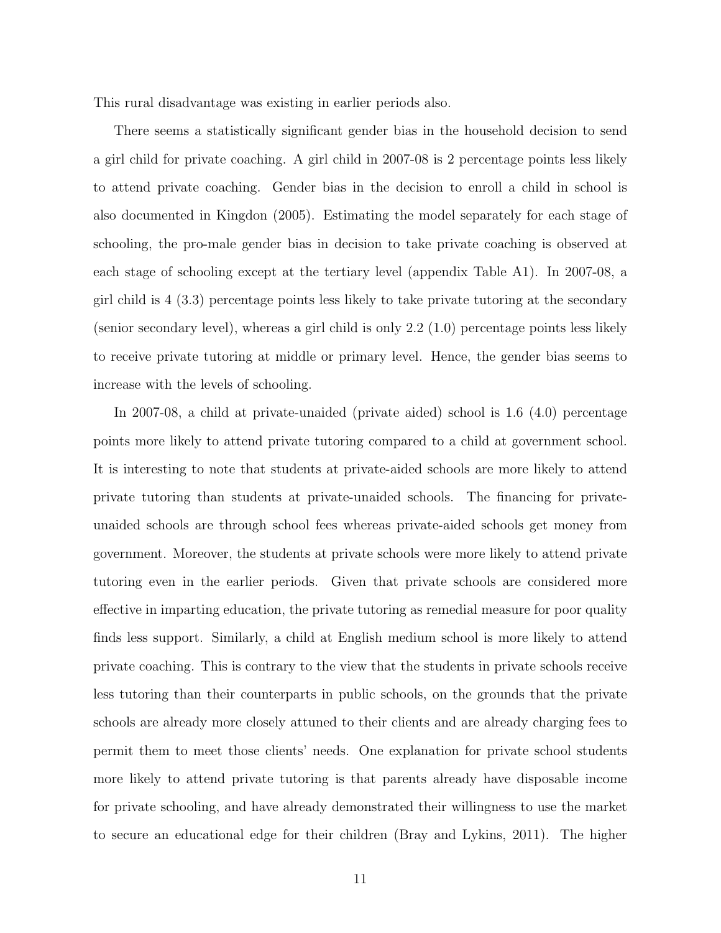This rural disadvantage was existing in earlier periods also.

There seems a statistically significant gender bias in the household decision to send a girl child for private coaching. A girl child in 2007-08 is 2 percentage points less likely to attend private coaching. Gender bias in the decision to enroll a child in school is also documented in Kingdon (2005). Estimating the model separately for each stage of schooling, the pro-male gender bias in decision to take private coaching is observed at each stage of schooling except at the tertiary level (appendix Table A1). In 2007-08, a girl child is 4 (3.3) percentage points less likely to take private tutoring at the secondary (senior secondary level), whereas a girl child is only 2.2 (1.0) percentage points less likely to receive private tutoring at middle or primary level. Hence, the gender bias seems to increase with the levels of schooling.

In 2007-08, a child at private-unaided (private aided) school is 1.6 (4.0) percentage points more likely to attend private tutoring compared to a child at government school. It is interesting to note that students at private-aided schools are more likely to attend private tutoring than students at private-unaided schools. The financing for privateunaided schools are through school fees whereas private-aided schools get money from government. Moreover, the students at private schools were more likely to attend private tutoring even in the earlier periods. Given that private schools are considered more effective in imparting education, the private tutoring as remedial measure for poor quality finds less support. Similarly, a child at English medium school is more likely to attend private coaching. This is contrary to the view that the students in private schools receive less tutoring than their counterparts in public schools, on the grounds that the private schools are already more closely attuned to their clients and are already charging fees to permit them to meet those clients' needs. One explanation for private school students more likely to attend private tutoring is that parents already have disposable income for private schooling, and have already demonstrated their willingness to use the market to secure an educational edge for their children (Bray and Lykins, 2011). The higher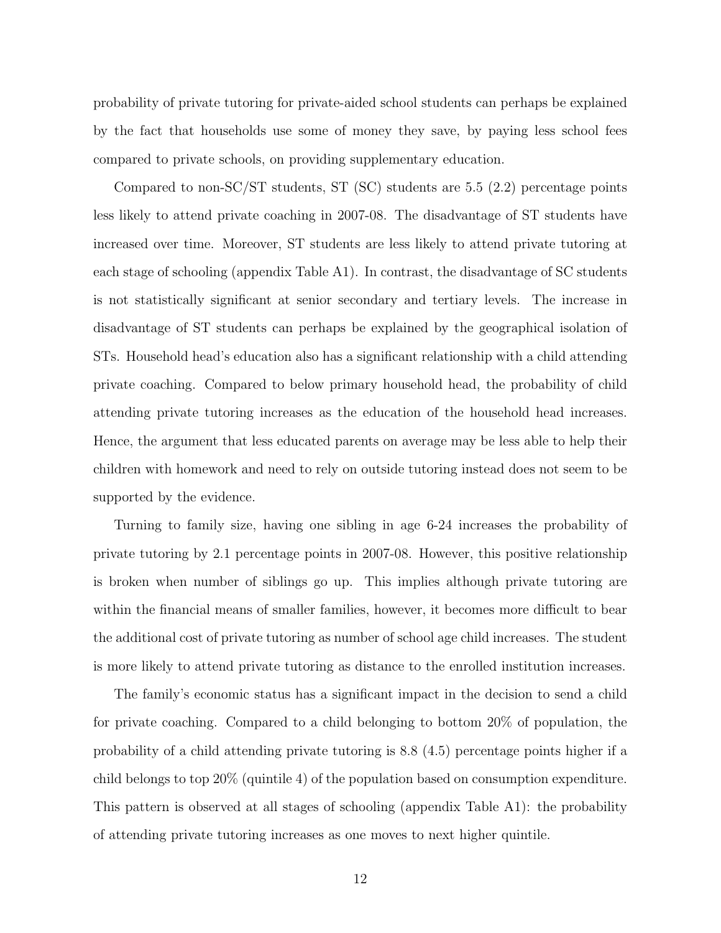probability of private tutoring for private-aided school students can perhaps be explained by the fact that households use some of money they save, by paying less school fees compared to private schools, on providing supplementary education.

Compared to non-SC/ST students, ST (SC) students are 5.5 (2.2) percentage points less likely to attend private coaching in 2007-08. The disadvantage of ST students have increased over time. Moreover, ST students are less likely to attend private tutoring at each stage of schooling (appendix Table A1). In contrast, the disadvantage of SC students is not statistically significant at senior secondary and tertiary levels. The increase in disadvantage of ST students can perhaps be explained by the geographical isolation of STs. Household head's education also has a significant relationship with a child attending private coaching. Compared to below primary household head, the probability of child attending private tutoring increases as the education of the household head increases. Hence, the argument that less educated parents on average may be less able to help their children with homework and need to rely on outside tutoring instead does not seem to be supported by the evidence.

Turning to family size, having one sibling in age 6-24 increases the probability of private tutoring by 2.1 percentage points in 2007-08. However, this positive relationship is broken when number of siblings go up. This implies although private tutoring are within the financial means of smaller families, however, it becomes more difficult to bear the additional cost of private tutoring as number of school age child increases. The student is more likely to attend private tutoring as distance to the enrolled institution increases.

The family's economic status has a significant impact in the decision to send a child for private coaching. Compared to a child belonging to bottom 20% of population, the probability of a child attending private tutoring is 8.8 (4.5) percentage points higher if a child belongs to top 20% (quintile 4) of the population based on consumption expenditure. This pattern is observed at all stages of schooling (appendix Table A1): the probability of attending private tutoring increases as one moves to next higher quintile.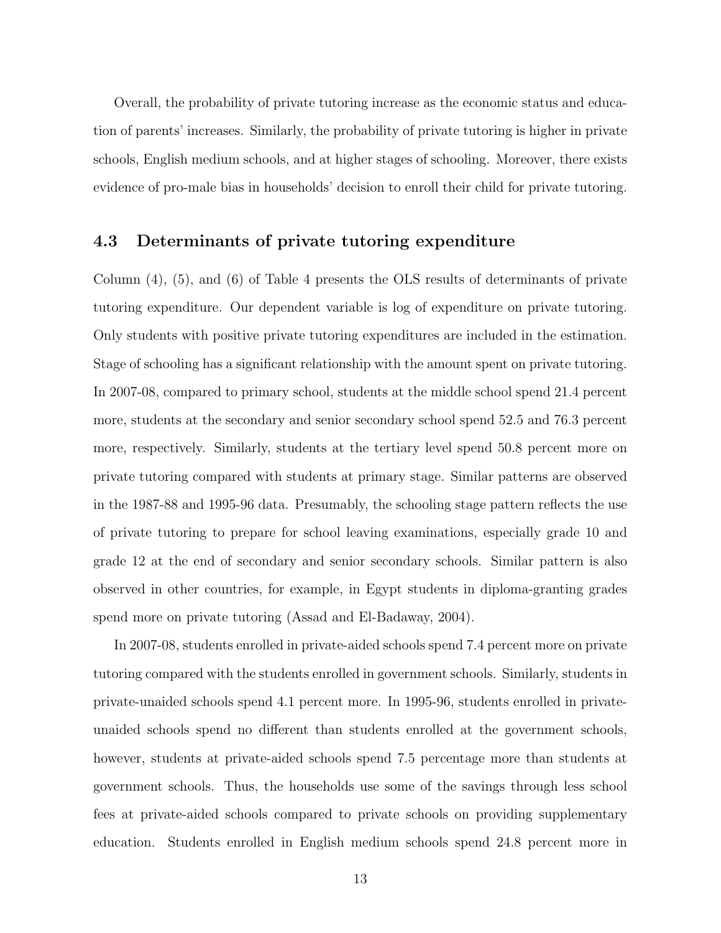Overall, the probability of private tutoring increase as the economic status and education of parents' increases. Similarly, the probability of private tutoring is higher in private schools, English medium schools, and at higher stages of schooling. Moreover, there exists evidence of pro-male bias in households' decision to enroll their child for private tutoring.

#### 4.3 Determinants of private tutoring expenditure

Column (4), (5), and (6) of Table 4 presents the OLS results of determinants of private tutoring expenditure. Our dependent variable is log of expenditure on private tutoring. Only students with positive private tutoring expenditures are included in the estimation. Stage of schooling has a significant relationship with the amount spent on private tutoring. In 2007-08, compared to primary school, students at the middle school spend 21.4 percent more, students at the secondary and senior secondary school spend 52.5 and 76.3 percent more, respectively. Similarly, students at the tertiary level spend 50.8 percent more on private tutoring compared with students at primary stage. Similar patterns are observed in the 1987-88 and 1995-96 data. Presumably, the schooling stage pattern reflects the use of private tutoring to prepare for school leaving examinations, especially grade 10 and grade 12 at the end of secondary and senior secondary schools. Similar pattern is also observed in other countries, for example, in Egypt students in diploma-granting grades spend more on private tutoring (Assad and El-Badaway, 2004).

In 2007-08, students enrolled in private-aided schools spend 7.4 percent more on private tutoring compared with the students enrolled in government schools. Similarly, students in private-unaided schools spend 4.1 percent more. In 1995-96, students enrolled in privateunaided schools spend no different than students enrolled at the government schools, however, students at private-aided schools spend 7.5 percentage more than students at government schools. Thus, the households use some of the savings through less school fees at private-aided schools compared to private schools on providing supplementary education. Students enrolled in English medium schools spend 24.8 percent more in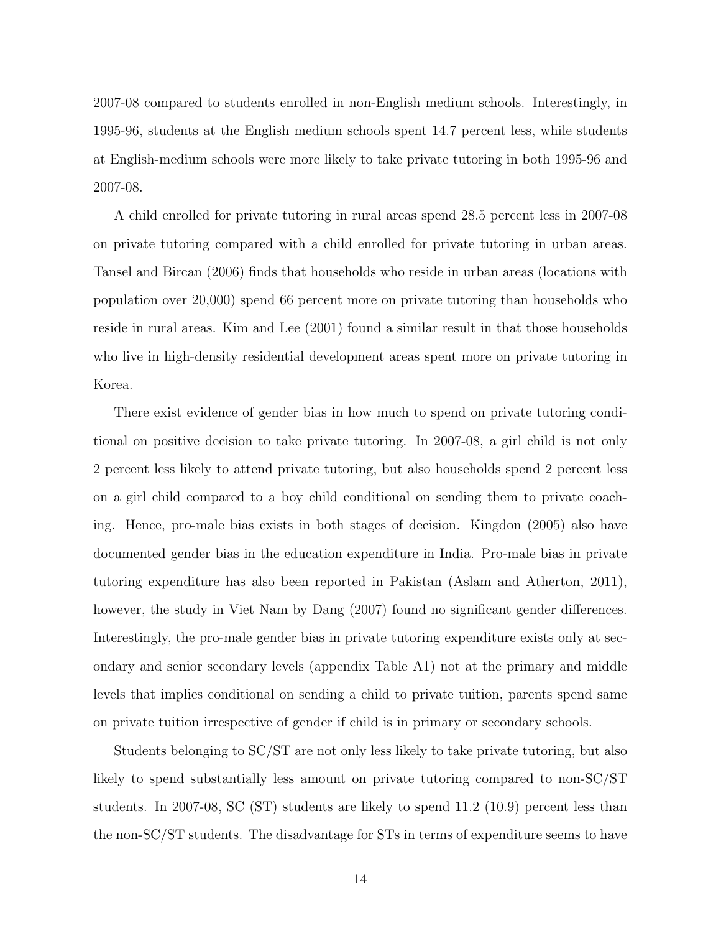2007-08 compared to students enrolled in non-English medium schools. Interestingly, in 1995-96, students at the English medium schools spent 14.7 percent less, while students at English-medium schools were more likely to take private tutoring in both 1995-96 and 2007-08.

A child enrolled for private tutoring in rural areas spend 28.5 percent less in 2007-08 on private tutoring compared with a child enrolled for private tutoring in urban areas. Tansel and Bircan (2006) finds that households who reside in urban areas (locations with population over 20,000) spend 66 percent more on private tutoring than households who reside in rural areas. Kim and Lee (2001) found a similar result in that those households who live in high-density residential development areas spent more on private tutoring in Korea.

There exist evidence of gender bias in how much to spend on private tutoring conditional on positive decision to take private tutoring. In 2007-08, a girl child is not only 2 percent less likely to attend private tutoring, but also households spend 2 percent less on a girl child compared to a boy child conditional on sending them to private coaching. Hence, pro-male bias exists in both stages of decision. Kingdon (2005) also have documented gender bias in the education expenditure in India. Pro-male bias in private tutoring expenditure has also been reported in Pakistan (Aslam and Atherton, 2011), however, the study in Viet Nam by Dang  $(2007)$  found no significant gender differences. Interestingly, the pro-male gender bias in private tutoring expenditure exists only at secondary and senior secondary levels (appendix Table A1) not at the primary and middle levels that implies conditional on sending a child to private tuition, parents spend same on private tuition irrespective of gender if child is in primary or secondary schools.

Students belonging to SC/ST are not only less likely to take private tutoring, but also likely to spend substantially less amount on private tutoring compared to non-SC/ST students. In 2007-08, SC (ST) students are likely to spend 11.2 (10.9) percent less than the non-SC/ST students. The disadvantage for STs in terms of expenditure seems to have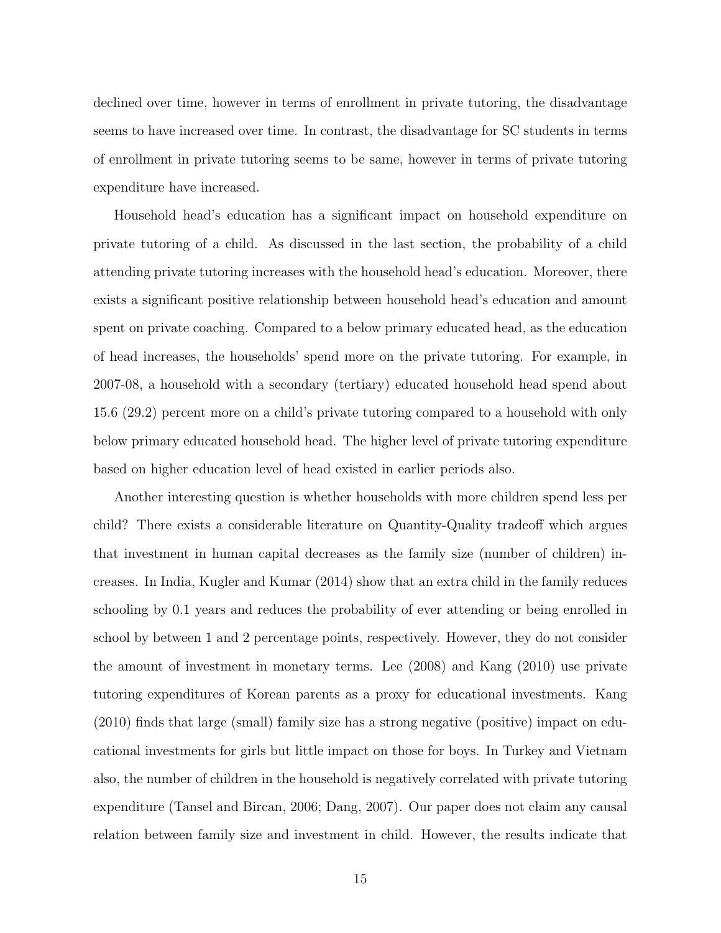declined over time, however in terms of enrollment in private tutoring, the disadvantage seems to have increased over time. In contrast, the disadvantage for SC students in terms of enrollment in private tutoring seems to be same, however in terms of private tutoring expenditure have increased.

Household head's education has a significant impact on household expenditure on private tutoring of a child. As discussed in the last section, the probability of a child attending private tutoring increases with the household head's education. Moreover, there exists a significant positive relationship between household head's education and amount spent on private coaching. Compared to a below primary educated head, as the education of head increases, the households' spend more on the private tutoring. For example, in 2007-08, a household with a secondary (tertiary) educated household head spend about 15.6 (29.2) percent more on a child's private tutoring compared to a household with only below primary educated household head. The higher level of private tutoring expenditure based on higher education level of head existed in earlier periods also.

Another interesting question is whether households with more children spend less per child? There exists a considerable literature on Quantity-Quality tradeoff which argues that investment in human capital decreases as the family size (number of children) increases. In India, Kugler and Kumar (2014) show that an extra child in the family reduces schooling by 0.1 years and reduces the probability of ever attending or being enrolled in school by between 1 and 2 percentage points, respectively. However, they do not consider the amount of investment in monetary terms. Lee (2008) and Kang (2010) use private tutoring expenditures of Korean parents as a proxy for educational investments. Kang (2010) finds that large (small) family size has a strong negative (positive) impact on educational investments for girls but little impact on those for boys. In Turkey and Vietnam also, the number of children in the household is negatively correlated with private tutoring expenditure (Tansel and Bircan, 2006; Dang, 2007). Our paper does not claim any causal relation between family size and investment in child. However, the results indicate that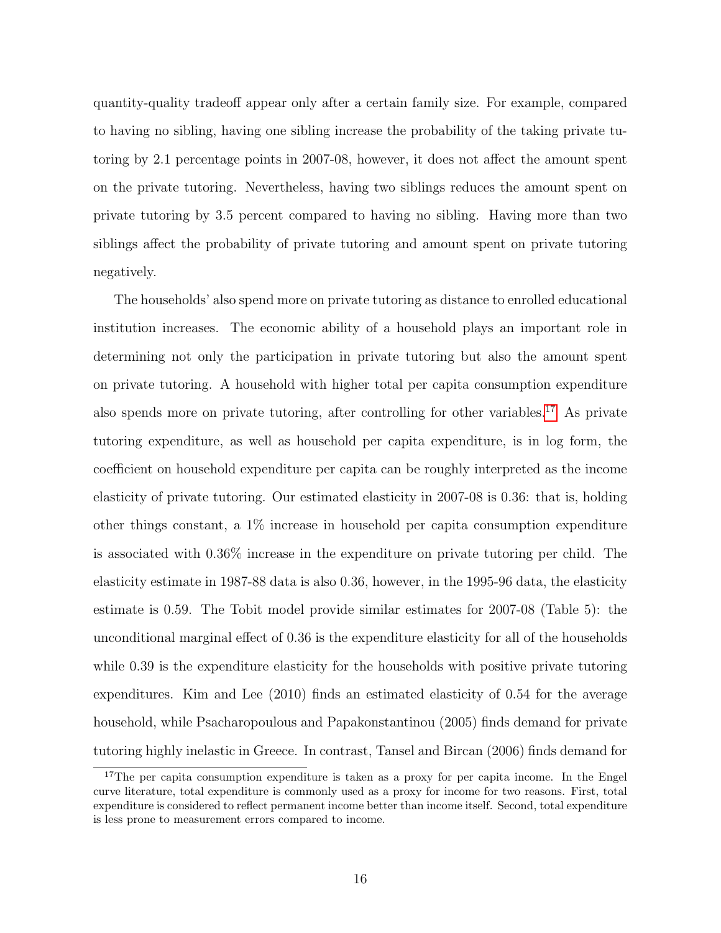quantity-quality tradeoff appear only after a certain family size. For example, compared to having no sibling, having one sibling increase the probability of the taking private tutoring by 2.1 percentage points in 2007-08, however, it does not affect the amount spent on the private tutoring. Nevertheless, having two siblings reduces the amount spent on private tutoring by 3.5 percent compared to having no sibling. Having more than two siblings affect the probability of private tutoring and amount spent on private tutoring negatively.

The households' also spend more on private tutoring as distance to enrolled educational institution increases. The economic ability of a household plays an important role in determining not only the participation in private tutoring but also the amount spent on private tutoring. A household with higher total per capita consumption expenditure also spends more on private tutoring, after controlling for other variables.[17](#page-18-0) As private tutoring expenditure, as well as household per capita expenditure, is in log form, the coefficient on household expenditure per capita can be roughly interpreted as the income elasticity of private tutoring. Our estimated elasticity in 2007-08 is 0.36: that is, holding other things constant, a 1% increase in household per capita consumption expenditure is associated with 0.36% increase in the expenditure on private tutoring per child. The elasticity estimate in 1987-88 data is also 0.36, however, in the 1995-96 data, the elasticity estimate is 0.59. The Tobit model provide similar estimates for 2007-08 (Table 5): the unconditional marginal effect of 0.36 is the expenditure elasticity for all of the households while 0.39 is the expenditure elasticity for the households with positive private tutoring expenditures. Kim and Lee (2010) finds an estimated elasticity of 0.54 for the average household, while Psacharopoulous and Papakonstantinou (2005) finds demand for private tutoring highly inelastic in Greece. In contrast, Tansel and Bircan (2006) finds demand for

<span id="page-18-0"></span><sup>&</sup>lt;sup>17</sup>The per capita consumption expenditure is taken as a proxy for per capita income. In the Engel curve literature, total expenditure is commonly used as a proxy for income for two reasons. First, total expenditure is considered to reflect permanent income better than income itself. Second, total expenditure is less prone to measurement errors compared to income.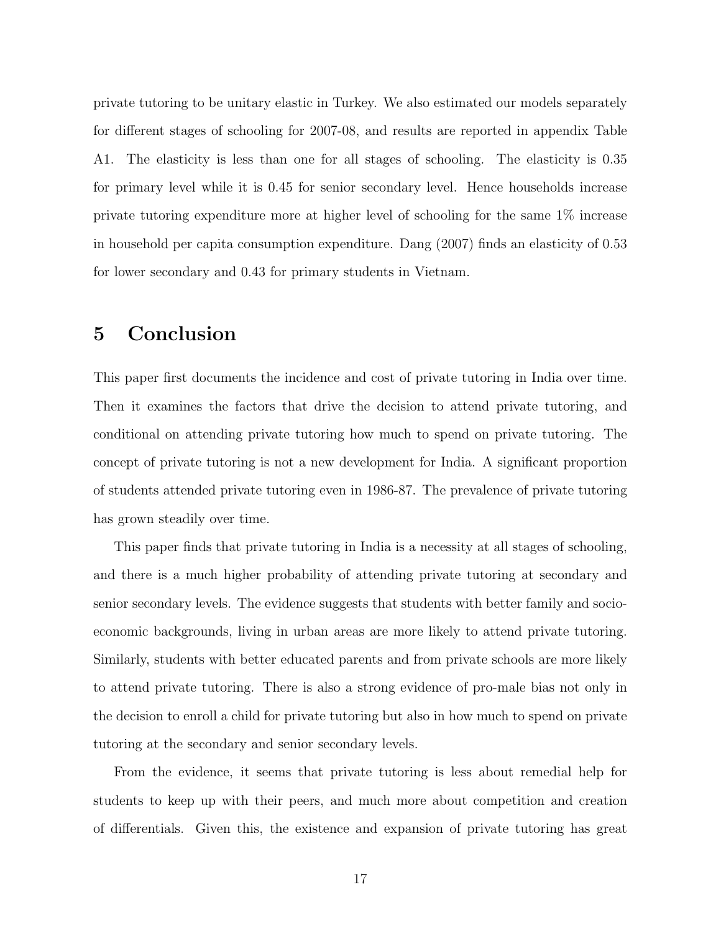private tutoring to be unitary elastic in Turkey. We also estimated our models separately for different stages of schooling for 2007-08, and results are reported in appendix Table A1. The elasticity is less than one for all stages of schooling. The elasticity is 0.35 for primary level while it is 0.45 for senior secondary level. Hence households increase private tutoring expenditure more at higher level of schooling for the same 1% increase in household per capita consumption expenditure. Dang (2007) finds an elasticity of 0.53 for lower secondary and 0.43 for primary students in Vietnam.

### 5 Conclusion

This paper first documents the incidence and cost of private tutoring in India over time. Then it examines the factors that drive the decision to attend private tutoring, and conditional on attending private tutoring how much to spend on private tutoring. The concept of private tutoring is not a new development for India. A significant proportion of students attended private tutoring even in 1986-87. The prevalence of private tutoring has grown steadily over time.

This paper finds that private tutoring in India is a necessity at all stages of schooling, and there is a much higher probability of attending private tutoring at secondary and senior secondary levels. The evidence suggests that students with better family and socioeconomic backgrounds, living in urban areas are more likely to attend private tutoring. Similarly, students with better educated parents and from private schools are more likely to attend private tutoring. There is also a strong evidence of pro-male bias not only in the decision to enroll a child for private tutoring but also in how much to spend on private tutoring at the secondary and senior secondary levels.

From the evidence, it seems that private tutoring is less about remedial help for students to keep up with their peers, and much more about competition and creation of differentials. Given this, the existence and expansion of private tutoring has great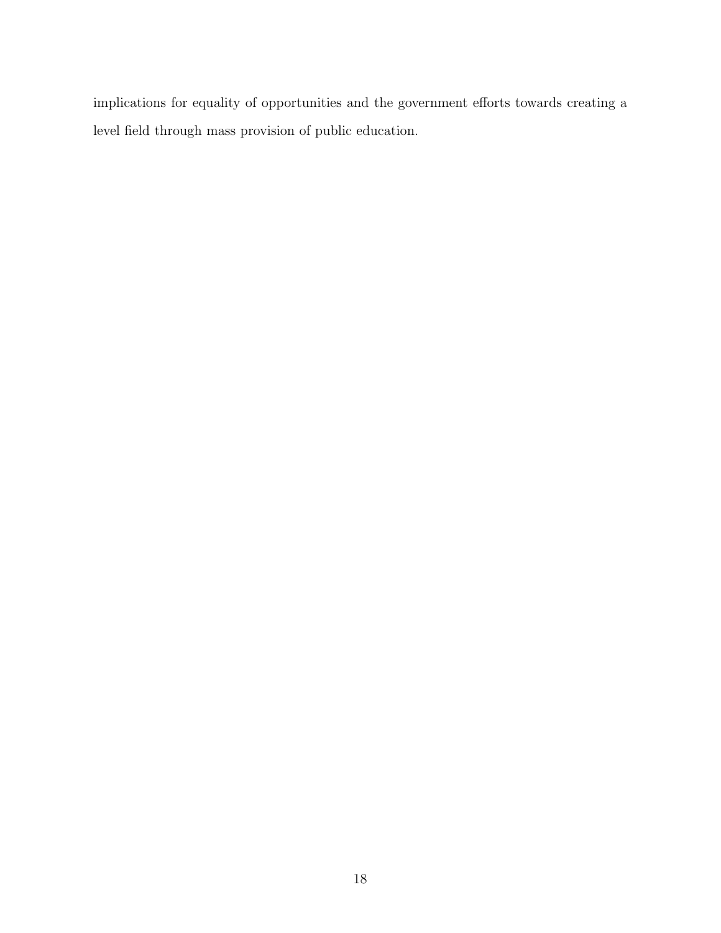implications for equality of opportunities and the government efforts towards creating a level field through mass provision of public education.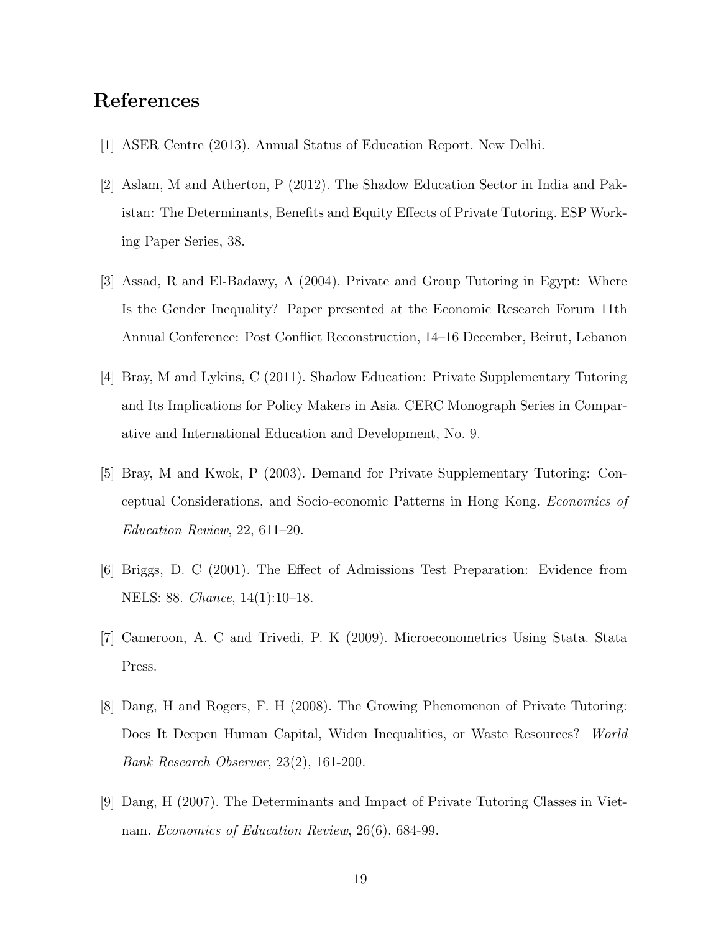# References

- [1] ASER Centre (2013). Annual Status of Education Report. New Delhi.
- [2] Aslam, M and Atherton, P (2012). The Shadow Education Sector in India and Pakistan: The Determinants, Benefits and Equity Effects of Private Tutoring. ESP Working Paper Series, 38.
- [3] Assad, R and El-Badawy, A (2004). Private and Group Tutoring in Egypt: Where Is the Gender Inequality? Paper presented at the Economic Research Forum 11th Annual Conference: Post Conflict Reconstruction, 14–16 December, Beirut, Lebanon
- [4] Bray, M and Lykins, C (2011). Shadow Education: Private Supplementary Tutoring and Its Implications for Policy Makers in Asia. CERC Monograph Series in Comparative and International Education and Development, No. 9.
- [5] Bray, M and Kwok, P (2003). Demand for Private Supplementary Tutoring: Conceptual Considerations, and Socio-economic Patterns in Hong Kong. Economics of Education Review, 22, 611–20.
- [6] Briggs, D. C (2001). The Effect of Admissions Test Preparation: Evidence from NELS: 88. Chance, 14(1):10–18.
- [7] Cameroon, A. C and Trivedi, P. K (2009). Microeconometrics Using Stata. Stata Press.
- [8] Dang, H and Rogers, F. H (2008). The Growing Phenomenon of Private Tutoring: Does It Deepen Human Capital, Widen Inequalities, or Waste Resources? World Bank Research Observer, 23(2), 161-200.
- [9] Dang, H (2007). The Determinants and Impact of Private Tutoring Classes in Vietnam. Economics of Education Review, 26(6), 684-99.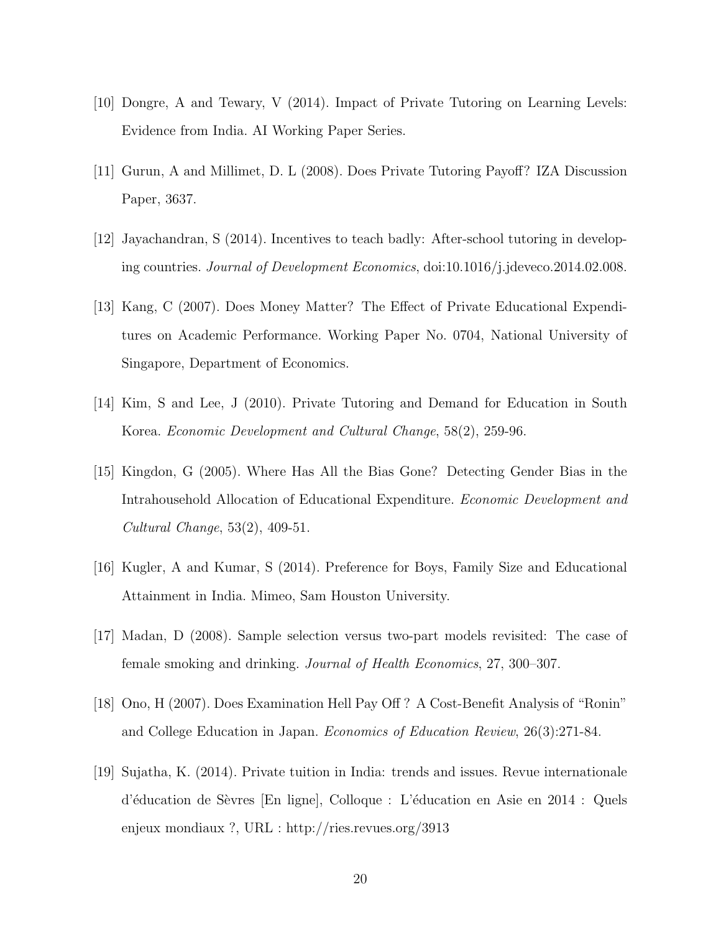- [10] Dongre, A and Tewary, V (2014). Impact of Private Tutoring on Learning Levels: Evidence from India. AI Working Paper Series.
- [11] Gurun, A and Millimet, D. L (2008). Does Private Tutoring Payoff? IZA Discussion Paper, 3637.
- [12] Jayachandran, S (2014). Incentives to teach badly: After-school tutoring in developing countries. Journal of Development Economics, doi:10.1016/j.jdeveco.2014.02.008.
- [13] Kang, C (2007). Does Money Matter? The Effect of Private Educational Expenditures on Academic Performance. Working Paper No. 0704, National University of Singapore, Department of Economics.
- [14] Kim, S and Lee, J (2010). Private Tutoring and Demand for Education in South Korea. Economic Development and Cultural Change, 58(2), 259-96.
- [15] Kingdon, G (2005). Where Has All the Bias Gone? Detecting Gender Bias in the Intrahousehold Allocation of Educational Expenditure. Economic Development and Cultural Change, 53(2), 409-51.
- [16] Kugler, A and Kumar, S (2014). Preference for Boys, Family Size and Educational Attainment in India. Mimeo, Sam Houston University.
- [17] Madan, D (2008). Sample selection versus two-part models revisited: The case of female smoking and drinking. Journal of Health Economics, 27, 300–307.
- [18] Ono, H (2007). Does Examination Hell Pay Off ? A Cost-Benefit Analysis of "Ronin" and College Education in Japan. Economics of Education Review, 26(3):271-84.
- [19] Sujatha, K. (2014). Private tuition in India: trends and issues. Revue internationale d'éducation de Sèvres [En ligne], Colloque : L'éducation en Asie en 2014 : Quels enjeux mondiaux ?, URL : http://ries.revues.org/3913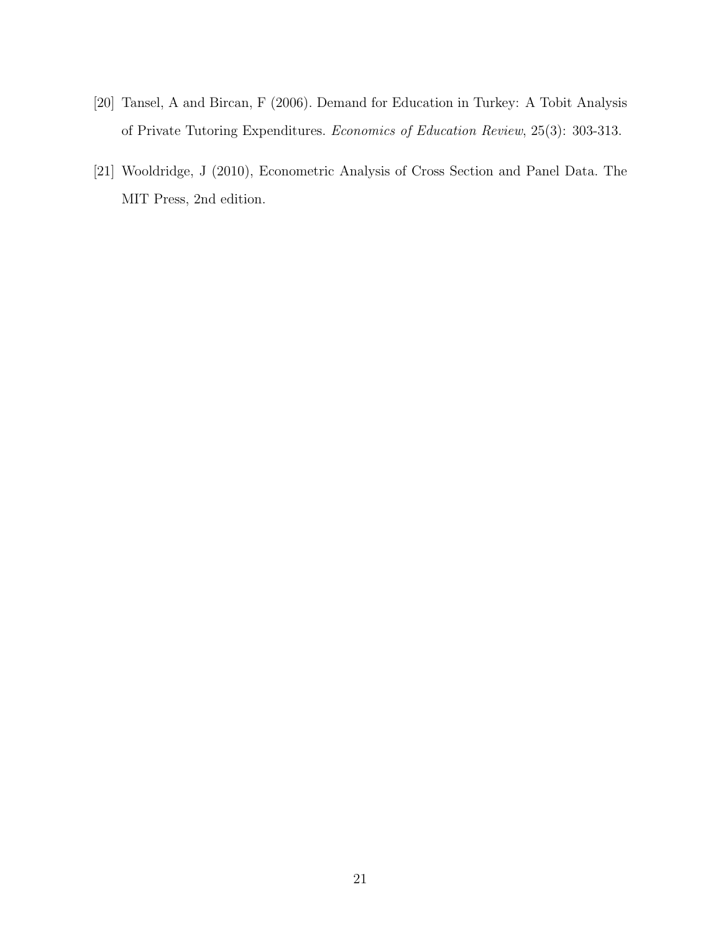- [20] Tansel, A and Bircan, F (2006). Demand for Education in Turkey: A Tobit Analysis of Private Tutoring Expenditures. Economics of Education Review, 25(3): 303-313.
- [21] Wooldridge, J (2010), Econometric Analysis of Cross Section and Panel Data. The MIT Press, 2nd edition.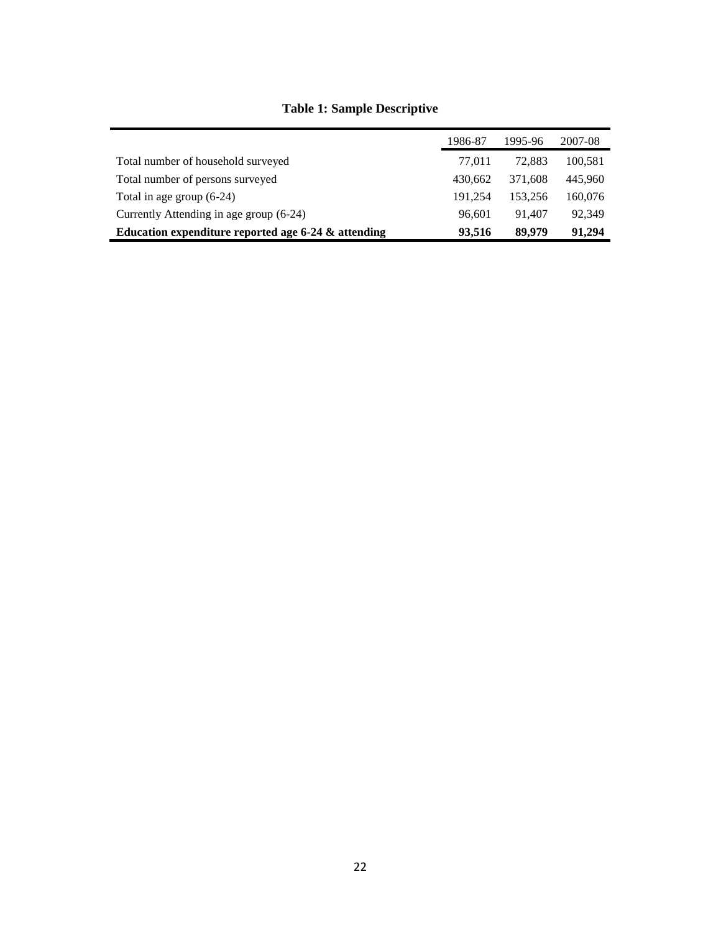|                                                       | 1986-87 | 1995-96 | 2007-08 |
|-------------------------------------------------------|---------|---------|---------|
| Total number of household surveyed                    | 77.011  | 72,883  | 100,581 |
| Total number of persons surveyed                      | 430.662 | 371,608 | 445.960 |
| Total in age group $(6-24)$                           | 191,254 | 153.256 | 160,076 |
| Currently Attending in age group (6-24)               | 96.601  | 91.407  | 92.349  |
| Education expenditure reported age $6-24$ & attending | 93.516  | 89,979  | 91,294  |

### **Table 1: Sample Descriptive**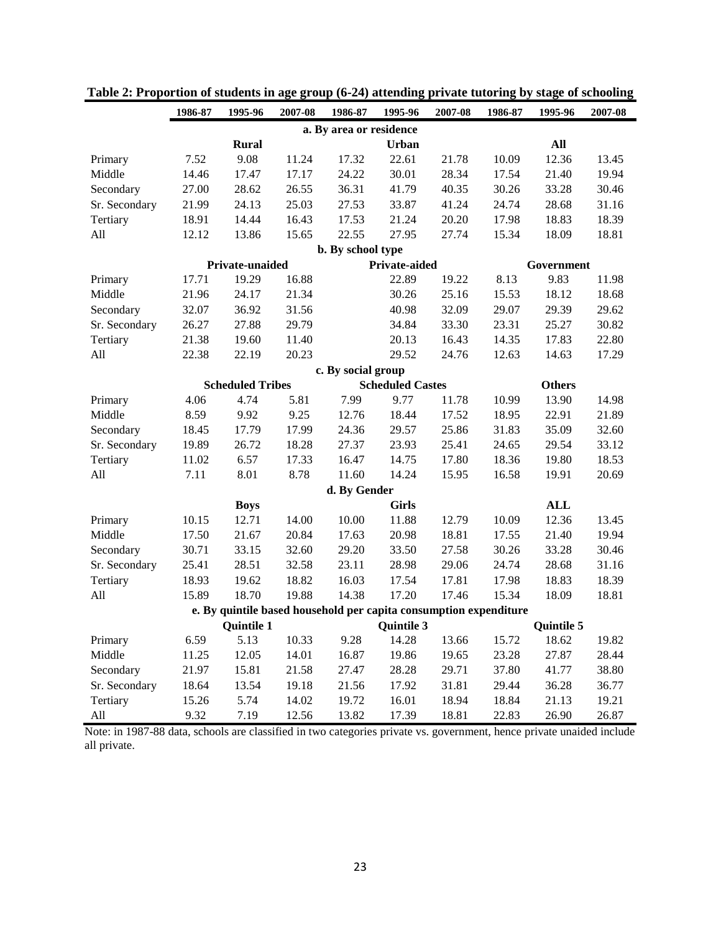|                                                | 1986-87 | 1995-96                 | 2007-08 | 1986-87                 | 1995-96                 | 2007-08                                                           | 1986-87 | 1995-96           | 2007-08 |  |
|------------------------------------------------|---------|-------------------------|---------|-------------------------|-------------------------|-------------------------------------------------------------------|---------|-------------------|---------|--|
|                                                |         |                         |         | a. By area or residence |                         |                                                                   |         |                   |         |  |
|                                                |         | <b>Rural</b>            |         |                         | Urban                   |                                                                   |         | All               |         |  |
| Primary                                        | 7.52    | 9.08                    | 11.24   | 17.32                   | 22.61                   | 21.78                                                             | 10.09   | 12.36             | 13.45   |  |
| Middle                                         | 14.46   | 17.47                   | 17.17   | 24.22                   | 30.01                   | 28.34                                                             | 17.54   | 21.40             | 19.94   |  |
| Secondary                                      | 27.00   | 28.62                   | 26.55   | 36.31                   | 41.79                   | 40.35                                                             | 30.26   | 33.28             | 30.46   |  |
| Sr. Secondary                                  | 21.99   | 24.13                   | 25.03   | 27.53                   | 33.87                   | 41.24                                                             | 24.74   | 28.68             | 31.16   |  |
| Tertiary                                       | 18.91   | 14.44                   | 16.43   | 17.53                   | 21.24                   | 20.20                                                             | 17.98   | 18.83             | 18.39   |  |
| All                                            | 12.12   | 13.86                   | 15.65   | 22.55                   | 27.95                   | 27.74                                                             | 15.34   | 18.09             | 18.81   |  |
|                                                |         |                         |         | b. By school type       |                         |                                                                   |         |                   |         |  |
| Private-aided<br>Private-unaided<br>Government |         |                         |         |                         |                         |                                                                   |         |                   |         |  |
| Primary                                        | 17.71   | 19.29                   | 16.88   |                         | 22.89                   | 19.22                                                             | 8.13    | 9.83              | 11.98   |  |
| Middle                                         | 21.96   | 24.17                   | 21.34   |                         | 30.26                   | 25.16                                                             | 15.53   | 18.12             | 18.68   |  |
| Secondary                                      | 32.07   | 36.92                   | 31.56   |                         | 40.98                   | 32.09                                                             | 29.07   | 29.39             | 29.62   |  |
| Sr. Secondary                                  | 26.27   | 27.88                   | 29.79   |                         | 34.84                   | 33.30                                                             | 23.31   | 25.27             | 30.82   |  |
| Tertiary                                       | 21.38   | 19.60                   | 11.40   |                         | 20.13                   | 16.43                                                             | 14.35   | 17.83             | 22.80   |  |
| All                                            | 22.38   | 22.19                   | 20.23   |                         | 29.52                   | 24.76                                                             | 12.63   | 14.63             | 17.29   |  |
| c. By social group                             |         |                         |         |                         |                         |                                                                   |         |                   |         |  |
|                                                |         | <b>Scheduled Tribes</b> |         |                         | <b>Scheduled Castes</b> |                                                                   |         | <b>Others</b>     |         |  |
| Primary                                        | 4.06    | 4.74                    | 5.81    | 7.99                    | 9.77                    | 11.78                                                             | 10.99   | 13.90             | 14.98   |  |
| Middle                                         | 8.59    | 9.92                    | 9.25    | 12.76                   | 18.44                   | 17.52                                                             | 18.95   | 22.91             | 21.89   |  |
| Secondary                                      | 18.45   | 17.79                   | 17.99   | 24.36                   | 29.57                   | 25.86                                                             | 31.83   | 35.09             | 32.60   |  |
| Sr. Secondary                                  | 19.89   | 26.72                   | 18.28   | 27.37                   | 23.93                   | 25.41                                                             | 24.65   | 29.54             | 33.12   |  |
| Tertiary                                       | 11.02   | 6.57                    | 17.33   | 16.47                   | 14.75                   | 17.80                                                             | 18.36   | 19.80             | 18.53   |  |
| All                                            | 7.11    | 8.01                    | 8.78    | 11.60                   | 14.24                   | 15.95                                                             | 16.58   | 19.91             | 20.69   |  |
|                                                |         |                         |         | d. By Gender            |                         |                                                                   |         |                   |         |  |
|                                                |         | <b>Boys</b>             |         |                         | <b>Girls</b>            |                                                                   |         | <b>ALL</b>        |         |  |
| Primary                                        | 10.15   | 12.71                   | 14.00   | 10.00                   | 11.88                   | 12.79                                                             | 10.09   | 12.36             | 13.45   |  |
| Middle                                         | 17.50   | 21.67                   | 20.84   | 17.63                   | 20.98                   | 18.81                                                             | 17.55   | 21.40             | 19.94   |  |
| Secondary                                      | 30.71   | 33.15                   | 32.60   | 29.20                   | 33.50                   | 27.58                                                             | 30.26   | 33.28             | 30.46   |  |
| Sr. Secondary                                  | 25.41   | 28.51                   | 32.58   | 23.11                   | 28.98                   | 29.06                                                             | 24.74   | 28.68             | 31.16   |  |
| Tertiary                                       | 18.93   | 19.62                   | 18.82   | 16.03                   | 17.54                   | 17.81                                                             | 17.98   | 18.83             | 18.39   |  |
| All                                            | 15.89   | 18.70                   | 19.88   | 14.38                   | 17.20                   | 17.46                                                             | 15.34   | 18.09             | 18.81   |  |
|                                                |         |                         |         |                         |                         | e. By quintile based household per capita consumption expenditure |         |                   |         |  |
|                                                |         | <b>Quintile 1</b>       |         |                         | <b>Quintile 3</b>       |                                                                   |         | <b>Quintile 5</b> |         |  |
| Primary                                        | 6.59    | 5.13                    | 10.33   | 9.28                    | 14.28                   | 13.66                                                             | 15.72   | 18.62             | 19.82   |  |
| Middle                                         | 11.25   | 12.05                   | 14.01   | 16.87                   | 19.86                   | 19.65                                                             | 23.28   | 27.87             | 28.44   |  |
| Secondary                                      | 21.97   | 15.81                   | 21.58   | 27.47                   | 28.28                   | 29.71                                                             | 37.80   | 41.77             | 38.80   |  |
| Sr. Secondary                                  | 18.64   | 13.54                   | 19.18   | 21.56                   | 17.92                   | 31.81                                                             | 29.44   | 36.28             | 36.77   |  |
| Tertiary                                       | 15.26   | 5.74                    | 14.02   | 19.72                   | 16.01                   | 18.94                                                             | 18.84   | 21.13             | 19.21   |  |
| $\mathop{\rm All}\nolimits$                    | 9.32    | 7.19                    | 12.56   | 13.82                   | 17.39                   | 18.81                                                             | 22.83   | 26.90             | 26.87   |  |

### **Table 2: Proportion of students in age group (6-24) attending private tutoring by stage of schooling**

Note: in 1987-88 data, schools are classified in two categories private vs. government, hence private unaided include all private.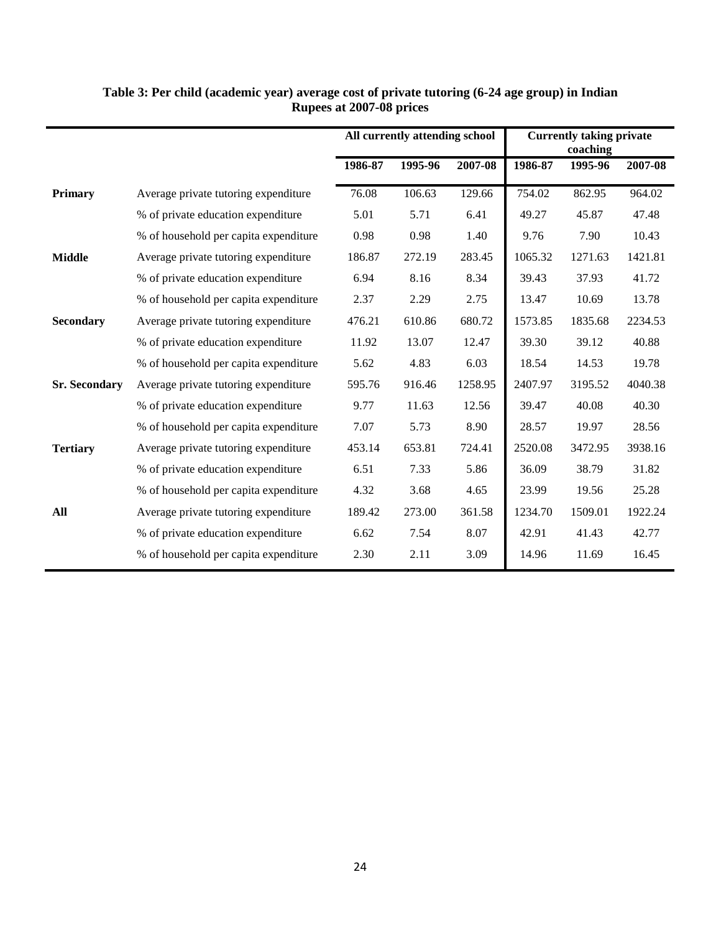|                      |                                       |         | All currently attending school |         | <b>Currently taking private</b><br>coaching |         |         |  |
|----------------------|---------------------------------------|---------|--------------------------------|---------|---------------------------------------------|---------|---------|--|
|                      |                                       | 1986-87 | 1995-96                        | 2007-08 | 1986-87                                     | 1995-96 | 2007-08 |  |
| <b>Primary</b>       | Average private tutoring expenditure  | 76.08   | 106.63                         | 129.66  | 754.02                                      | 862.95  | 964.02  |  |
|                      | % of private education expenditure    | 5.01    | 5.71                           | 6.41    | 49.27                                       | 45.87   | 47.48   |  |
|                      | % of household per capita expenditure | 0.98    | 0.98                           | 1.40    | 9.76                                        | 7.90    | 10.43   |  |
| <b>Middle</b>        | Average private tutoring expenditure  | 186.87  | 272.19                         | 283.45  | 1065.32                                     | 1271.63 | 1421.81 |  |
|                      | % of private education expenditure    | 6.94    | 8.16                           | 8.34    | 39.43                                       | 37.93   | 41.72   |  |
|                      | % of household per capita expenditure | 2.37    | 2.29                           | 2.75    | 13.47                                       | 10.69   | 13.78   |  |
| <b>Secondary</b>     | Average private tutoring expenditure  | 476.21  | 610.86                         | 680.72  | 1573.85                                     | 1835.68 | 2234.53 |  |
|                      | % of private education expenditure    | 11.92   | 13.07                          | 12.47   | 39.30                                       | 39.12   | 40.88   |  |
|                      | % of household per capita expenditure | 5.62    | 4.83                           | 6.03    | 18.54                                       | 14.53   | 19.78   |  |
| <b>Sr. Secondary</b> | Average private tutoring expenditure  | 595.76  | 916.46                         | 1258.95 | 2407.97                                     | 3195.52 | 4040.38 |  |
|                      | % of private education expenditure    | 9.77    | 11.63                          | 12.56   | 39.47                                       | 40.08   | 40.30   |  |
|                      | % of household per capita expenditure | 7.07    | 5.73                           | 8.90    | 28.57                                       | 19.97   | 28.56   |  |
| <b>Tertiary</b>      | Average private tutoring expenditure  | 453.14  | 653.81                         | 724.41  | 2520.08                                     | 3472.95 | 3938.16 |  |
|                      | % of private education expenditure    | 6.51    | 7.33                           | 5.86    | 36.09                                       | 38.79   | 31.82   |  |
|                      | % of household per capita expenditure | 4.32    | 3.68                           | 4.65    | 23.99                                       | 19.56   | 25.28   |  |
| All                  | Average private tutoring expenditure  | 189.42  | 273.00                         | 361.58  | 1234.70                                     | 1509.01 | 1922.24 |  |
|                      | % of private education expenditure    | 6.62    | 7.54                           | 8.07    | 42.91                                       | 41.43   | 42.77   |  |
|                      | % of household per capita expenditure | 2.30    | 2.11                           | 3.09    | 14.96                                       | 11.69   | 16.45   |  |

#### **Table 3: Per child (academic year) average cost of private tutoring (6-24 age group) in Indian Rupees at 2007-08 prices**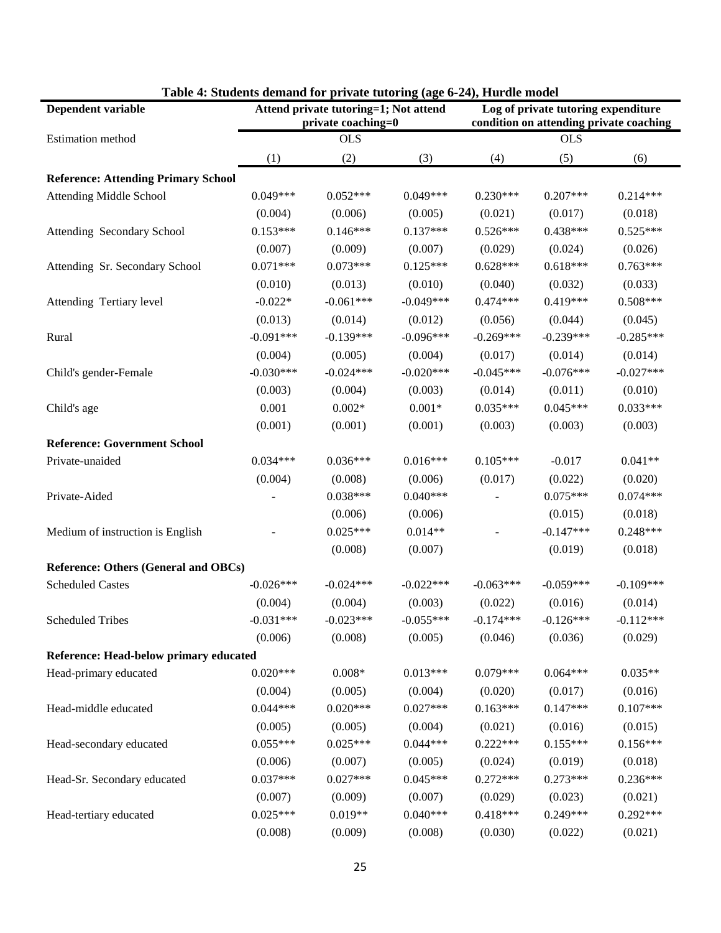| Table $\pi$ , students demand for private tutoring (age 0-24), frui die model<br>Dependent variable | Attend private tutoring=1; Not attend<br>private coaching=0 |             |             | Log of private tutoring expenditure<br>condition on attending private coaching |             |             |  |  |
|-----------------------------------------------------------------------------------------------------|-------------------------------------------------------------|-------------|-------------|--------------------------------------------------------------------------------|-------------|-------------|--|--|
| Estimation method                                                                                   |                                                             | <b>OLS</b>  |             |                                                                                | <b>OLS</b>  |             |  |  |
|                                                                                                     | (1)                                                         | (2)         | (3)         | (4)                                                                            | (5)         | (6)         |  |  |
| <b>Reference: Attending Primary School</b>                                                          |                                                             |             |             |                                                                                |             |             |  |  |
| <b>Attending Middle School</b>                                                                      | $0.049***$                                                  | $0.052***$  | $0.049***$  | $0.230***$                                                                     | $0.207***$  | $0.214***$  |  |  |
|                                                                                                     | (0.004)                                                     | (0.006)     | (0.005)     | (0.021)                                                                        | (0.017)     | (0.018)     |  |  |
| Attending Secondary School                                                                          | $0.153***$                                                  | $0.146***$  | $0.137***$  | $0.526***$                                                                     | $0.438***$  | $0.525***$  |  |  |
|                                                                                                     | (0.007)                                                     | (0.009)     | (0.007)     | (0.029)                                                                        | (0.024)     | (0.026)     |  |  |
| Attending Sr. Secondary School                                                                      | $0.071***$                                                  | $0.073***$  | $0.125***$  | $0.628***$                                                                     | $0.618***$  | $0.763***$  |  |  |
|                                                                                                     | (0.010)                                                     | (0.013)     | (0.010)     | (0.040)                                                                        | (0.032)     | (0.033)     |  |  |
| Attending Tertiary level                                                                            | $-0.022*$                                                   | $-0.061***$ | $-0.049***$ | $0.474***$                                                                     | $0.419***$  | $0.508***$  |  |  |
|                                                                                                     | (0.013)                                                     | (0.014)     | (0.012)     | (0.056)                                                                        | (0.044)     | (0.045)     |  |  |
| Rural                                                                                               | $-0.091***$                                                 | $-0.139***$ | $-0.096***$ | $-0.269***$                                                                    | $-0.239***$ | $-0.285***$ |  |  |
|                                                                                                     | (0.004)                                                     | (0.005)     | (0.004)     | (0.017)                                                                        | (0.014)     | (0.014)     |  |  |
| Child's gender-Female                                                                               | $-0.030***$                                                 | $-0.024***$ | $-0.020***$ | $-0.045***$                                                                    | $-0.076***$ | $-0.027***$ |  |  |
|                                                                                                     | (0.003)                                                     | (0.004)     | (0.003)     | (0.014)                                                                        | (0.011)     | (0.010)     |  |  |
| Child's age                                                                                         | 0.001                                                       | $0.002*$    | $0.001*$    | $0.035***$                                                                     | $0.045***$  | $0.033***$  |  |  |
|                                                                                                     | (0.001)                                                     | (0.001)     | (0.001)     | (0.003)                                                                        | (0.003)     | (0.003)     |  |  |
| <b>Reference: Government School</b>                                                                 |                                                             |             |             |                                                                                |             |             |  |  |
| Private-unaided                                                                                     | $0.034***$                                                  | $0.036***$  | $0.016***$  | $0.105***$                                                                     | $-0.017$    | $0.041**$   |  |  |
|                                                                                                     | (0.004)                                                     | (0.008)     | (0.006)     | (0.017)                                                                        | (0.022)     | (0.020)     |  |  |
| Private-Aided                                                                                       |                                                             | $0.038***$  | $0.040***$  |                                                                                | $0.075***$  | $0.074***$  |  |  |
|                                                                                                     |                                                             | (0.006)     | (0.006)     |                                                                                | (0.015)     | (0.018)     |  |  |
| Medium of instruction is English                                                                    |                                                             | $0.025***$  | $0.014**$   |                                                                                | $-0.147***$ | $0.248***$  |  |  |
|                                                                                                     |                                                             | (0.008)     | (0.007)     |                                                                                | (0.019)     | (0.018)     |  |  |
| <b>Reference: Others (General and OBCs)</b>                                                         |                                                             |             |             |                                                                                |             |             |  |  |
| <b>Scheduled Castes</b>                                                                             | $-0.026***$                                                 | $-0.024***$ | $-0.022***$ | $-0.063***$                                                                    | $-0.059***$ | $-0.109***$ |  |  |
|                                                                                                     | (0.004)                                                     | (0.004)     | (0.003)     | (0.022)                                                                        | (0.016)     | (0.014)     |  |  |
| <b>Scheduled Tribes</b>                                                                             | $-0.031***$                                                 | $-0.023***$ | $-0.055***$ | $-0.174***$                                                                    | $-0.126***$ | $-0.112***$ |  |  |
|                                                                                                     | (0.006)                                                     | (0.008)     | (0.005)     | (0.046)                                                                        | (0.036)     | (0.029)     |  |  |
| <b>Reference: Head-below primary educated</b>                                                       |                                                             |             |             |                                                                                |             |             |  |  |
| Head-primary educated                                                                               | $0.020***$                                                  | $0.008*$    | $0.013***$  | $0.079***$                                                                     | $0.064***$  | $0.035**$   |  |  |
|                                                                                                     | (0.004)                                                     | (0.005)     | (0.004)     | (0.020)                                                                        | (0.017)     | (0.016)     |  |  |
| Head-middle educated                                                                                | $0.044***$                                                  | $0.020***$  | $0.027***$  | $0.163***$                                                                     | $0.147***$  | $0.107***$  |  |  |
|                                                                                                     | (0.005)                                                     | (0.005)     | (0.004)     | (0.021)                                                                        | (0.016)     | (0.015)     |  |  |
| Head-secondary educated                                                                             | $0.055***$                                                  | $0.025***$  | $0.044***$  | $0.222***$                                                                     | $0.155***$  | $0.156***$  |  |  |
|                                                                                                     | (0.006)                                                     | (0.007)     | (0.005)     | (0.024)                                                                        | (0.019)     | (0.018)     |  |  |
| Head-Sr. Secondary educated                                                                         | $0.037***$                                                  | $0.027***$  | $0.045***$  | $0.272***$                                                                     | $0.273***$  | $0.236***$  |  |  |
|                                                                                                     | (0.007)                                                     | (0.009)     | (0.007)     | (0.029)                                                                        | (0.023)     | (0.021)     |  |  |
| Head-tertiary educated                                                                              | $0.025***$                                                  | $0.019**$   | $0.040***$  | $0.418***$                                                                     | $0.249***$  | $0.292***$  |  |  |
|                                                                                                     | (0.008)                                                     | (0.009)     | (0.008)     | (0.030)                                                                        | (0.022)     | (0.021)     |  |  |

#### **Table 4: Students demand for private tutoring (age 6-24), Hurdle model**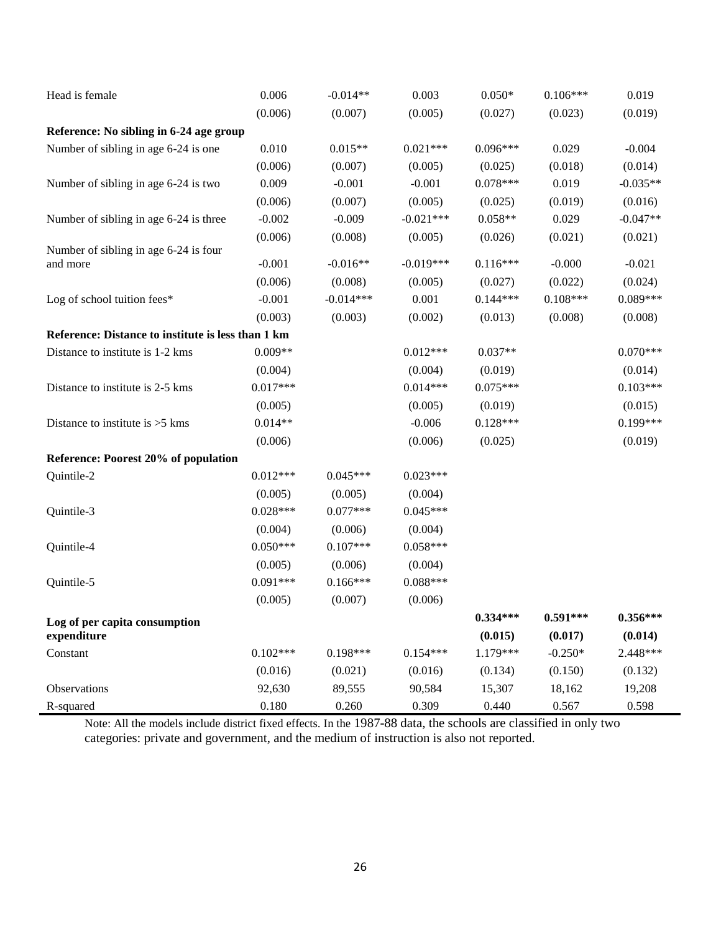| Head is female                                     | 0.006      | $-0.014**$  | 0.003       | $0.050*$   | $0.106***$ | 0.019      |
|----------------------------------------------------|------------|-------------|-------------|------------|------------|------------|
|                                                    | (0.006)    | (0.007)     | (0.005)     | (0.027)    | (0.023)    | (0.019)    |
| Reference: No sibling in 6-24 age group            |            |             |             |            |            |            |
| Number of sibling in age 6-24 is one               | 0.010      | $0.015**$   | $0.021***$  | $0.096***$ | 0.029      | $-0.004$   |
|                                                    | (0.006)    | (0.007)     | (0.005)     | (0.025)    | (0.018)    | (0.014)    |
| Number of sibling in age 6-24 is two               | 0.009      | $-0.001$    | $-0.001$    | $0.078***$ | 0.019      | $-0.035**$ |
|                                                    | (0.006)    | (0.007)     | (0.005)     | (0.025)    | (0.019)    | (0.016)    |
| Number of sibling in age 6-24 is three             | $-0.002$   | $-0.009$    | $-0.021***$ | $0.058**$  | 0.029      | $-0.047**$ |
|                                                    | (0.006)    | (0.008)     | (0.005)     | (0.026)    | (0.021)    | (0.021)    |
| Number of sibling in age 6-24 is four              |            |             |             |            |            |            |
| and more                                           | $-0.001$   | $-0.016**$  | $-0.019***$ | $0.116***$ | $-0.000$   | $-0.021$   |
|                                                    | (0.006)    | (0.008)     | (0.005)     | (0.027)    | (0.022)    | (0.024)    |
| Log of school tuition fees*                        | $-0.001$   | $-0.014***$ | 0.001       | $0.144***$ | $0.108***$ | $0.089***$ |
|                                                    | (0.003)    | (0.003)     | (0.002)     | (0.013)    | (0.008)    | (0.008)    |
| Reference: Distance to institute is less than 1 km |            |             |             |            |            |            |
| Distance to institute is 1-2 kms                   | $0.009**$  |             | $0.012***$  | $0.037**$  |            | $0.070***$ |
|                                                    | (0.004)    |             | (0.004)     | (0.019)    |            | (0.014)    |
| Distance to institute is 2-5 kms                   | $0.017***$ |             | $0.014***$  | $0.075***$ |            | $0.103***$ |
|                                                    | (0.005)    |             | (0.005)     | (0.019)    |            | (0.015)    |
| Distance to institute is $>5$ kms                  | $0.014**$  |             | $-0.006$    | $0.128***$ |            | $0.199***$ |
|                                                    | (0.006)    |             | (0.006)     | (0.025)    |            | (0.019)    |
| Reference: Poorest 20% of population               |            |             |             |            |            |            |
| Quintile-2                                         | $0.012***$ | $0.045***$  | $0.023***$  |            |            |            |
|                                                    | (0.005)    | (0.005)     | (0.004)     |            |            |            |
| Quintile-3                                         | $0.028***$ | $0.077***$  | $0.045***$  |            |            |            |
|                                                    | (0.004)    | (0.006)     | (0.004)     |            |            |            |
| Quintile-4                                         | $0.050***$ | $0.107***$  | $0.058***$  |            |            |            |
|                                                    | (0.005)    | (0.006)     | (0.004)     |            |            |            |
| Quintile-5                                         | $0.091***$ | $0.166***$  | $0.088***$  |            |            |            |
|                                                    | (0.005)    | (0.007)     | (0.006)     |            |            |            |
| Log of per capita consumption                      |            |             |             | $0.334***$ | $0.591***$ | $0.356***$ |
| expenditure                                        |            |             |             | (0.015)    | (0.017)    | (0.014)    |
| Constant                                           | $0.102***$ | $0.198***$  | $0.154***$  | $1.179***$ | $-0.250*$  | 2.448***   |
|                                                    | (0.016)    | (0.021)     | (0.016)     | (0.134)    | (0.150)    | (0.132)    |
| Observations                                       | 92,630     | 89,555      | 90,584      | 15,307     | 18,162     | 19,208     |
| R-squared                                          | 0.180      | 0.260       | 0.309       | 0.440      | 0.567      | 0.598      |

Note: All the models include district fixed effects. In the 1987-88 data, the schools are classified in only two categories: private and government, and the medium of instruction is also not reported.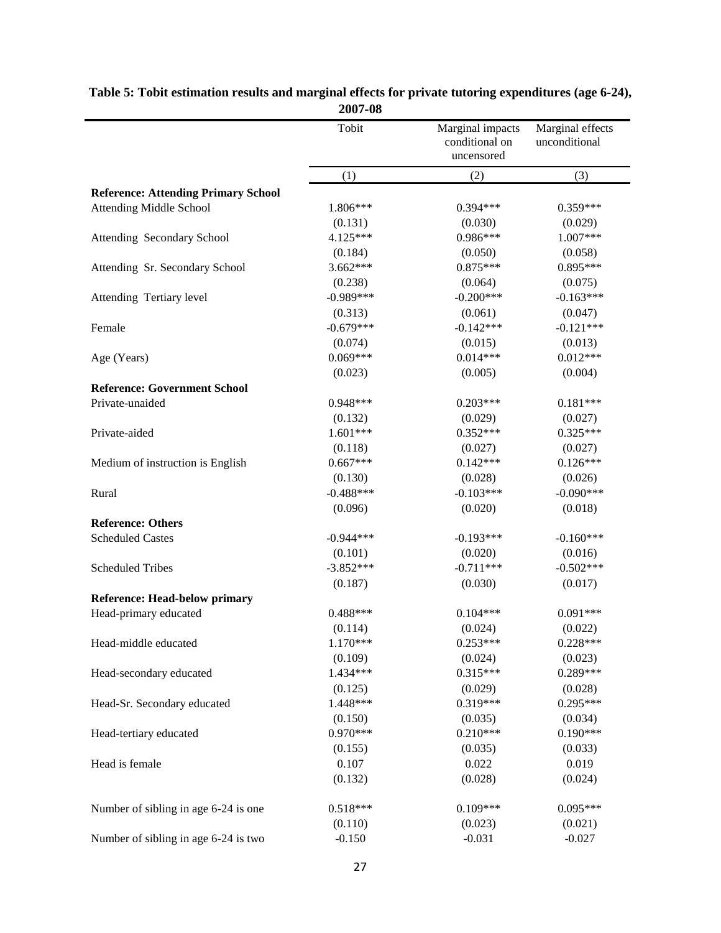|                                            | 4007-00     |                                                  |                                   |
|--------------------------------------------|-------------|--------------------------------------------------|-----------------------------------|
|                                            | Tobit       | Marginal impacts<br>conditional on<br>uncensored | Marginal effects<br>unconditional |
|                                            | (1)         | (2)                                              | (3)                               |
| <b>Reference: Attending Primary School</b> |             |                                                  |                                   |
| <b>Attending Middle School</b>             | 1.806***    | $0.394***$                                       | $0.359***$                        |
|                                            | (0.131)     | (0.030)                                          | (0.029)                           |
| Attending Secondary School                 | 4.125***    | $0.986***$                                       | 1.007***                          |
|                                            | (0.184)     | (0.050)                                          | (0.058)                           |
| Attending Sr. Secondary School             | 3.662***    | $0.875***$                                       | $0.895***$                        |
|                                            | (0.238)     | (0.064)                                          | (0.075)                           |
| Attending Tertiary level                   | $-0.989***$ | $-0.200***$                                      | $-0.163***$                       |
|                                            | (0.313)     | (0.061)                                          | (0.047)                           |
| Female                                     | $-0.679***$ | $-0.142***$                                      | $-0.121***$                       |
|                                            | (0.074)     | (0.015)                                          | (0.013)                           |
| Age (Years)                                | $0.069***$  | $0.014***$                                       | $0.012***$                        |
|                                            | (0.023)     | (0.005)                                          | (0.004)                           |
| <b>Reference: Government School</b>        |             |                                                  |                                   |
| Private-unaided                            | $0.948***$  | $0.203***$                                       | $0.181***$                        |
|                                            | (0.132)     | (0.029)                                          | (0.027)                           |
| Private-aided                              | $1.601***$  | $0.352***$                                       | $0.325***$                        |
|                                            | (0.118)     | (0.027)                                          | (0.027)                           |
| Medium of instruction is English           | $0.667***$  | $0.142***$                                       | $0.126***$                        |
|                                            | (0.130)     | (0.028)                                          | (0.026)                           |
| Rural                                      | $-0.488***$ | $-0.103***$                                      | $-0.090***$                       |
|                                            | (0.096)     | (0.020)                                          | (0.018)                           |
| <b>Reference: Others</b>                   |             |                                                  |                                   |
| <b>Scheduled Castes</b>                    | $-0.944***$ | $-0.193***$                                      | $-0.160***$                       |
|                                            | (0.101)     | (0.020)                                          | (0.016)                           |
| <b>Scheduled Tribes</b>                    | $-3.852***$ | $-0.711***$                                      | $-0.502***$                       |
|                                            | (0.187)     | (0.030)                                          | (0.017)                           |
| <b>Reference: Head-below primary</b>       |             |                                                  |                                   |
| Head-primary educated                      | $0.488***$  | $0.104***$                                       | $0.091***$                        |
|                                            | (0.114)     | (0.024)                                          | (0.022)                           |
| Head-middle educated                       | $1.170***$  | $0.253***$                                       | $0.228***$                        |
|                                            | (0.109)     | (0.024)                                          | (0.023)                           |
| Head-secondary educated                    | 1.434***    | $0.315***$                                       | $0.289***$                        |
|                                            | (0.125)     | (0.029)                                          | (0.028)                           |
| Head-Sr. Secondary educated                | 1.448***    | $0.319***$                                       | $0.295***$                        |
|                                            | (0.150)     | (0.035)                                          | (0.034)                           |
| Head-tertiary educated                     | $0.970***$  | $0.210***$                                       | $0.190***$                        |
|                                            | (0.155)     | (0.035)                                          | (0.033)                           |
| Head is female                             | 0.107       | 0.022                                            | 0.019                             |
|                                            | (0.132)     | (0.028)                                          | (0.024)                           |
| Number of sibling in age 6-24 is one       | $0.518***$  | $0.109***$                                       | $0.095***$                        |
|                                            | (0.110)     | (0.023)                                          | (0.021)                           |
| Number of sibling in age 6-24 is two       | $-0.150$    | $-0.031$                                         | $-0.027$                          |

| Table 5: Tobit estimation results and marginal effects for private tutoring expenditures (age 6-24), |  |
|------------------------------------------------------------------------------------------------------|--|
| 2007-08                                                                                              |  |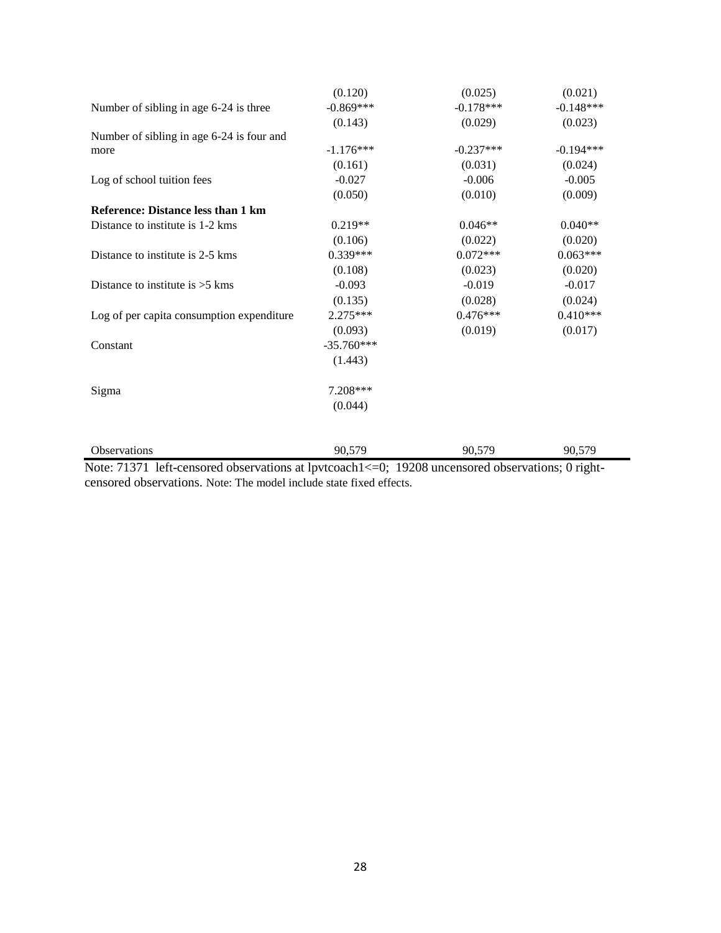| Observations                              | 90,579       | 90,579      | 90,579      |
|-------------------------------------------|--------------|-------------|-------------|
|                                           |              |             |             |
|                                           | (0.044)      |             |             |
| Sigma                                     | 7.208***     |             |             |
|                                           |              |             |             |
|                                           | (1.443)      |             |             |
| Constant                                  | $-35.760***$ |             |             |
|                                           | (0.093)      | (0.019)     | (0.017)     |
| Log of per capita consumption expenditure | 2.275***     | $0.476***$  | $0.410***$  |
|                                           | (0.135)      | (0.028)     | (0.024)     |
| Distance to institute is $>5$ kms         | $-0.093$     | $-0.019$    | $-0.017$    |
|                                           | (0.108)      | (0.023)     | (0.020)     |
| Distance to institute is 2-5 kms          | $0.339***$   | $0.072***$  | $0.063***$  |
|                                           | (0.106)      | (0.022)     | (0.020)     |
| Distance to institute is 1-2 kms          | $0.219**$    | $0.046**$   | $0.040**$   |
| Reference: Distance less than 1 km        |              |             |             |
|                                           | (0.050)      | (0.010)     | (0.009)     |
| Log of school tuition fees                | $-0.027$     | $-0.006$    | $-0.005$    |
|                                           | (0.161)      | (0.031)     | (0.024)     |
| more                                      | $-1.176***$  | $-0.237***$ | $-0.194***$ |
| Number of sibling in age 6-24 is four and |              |             |             |
|                                           | (0.143)      | (0.029)     | (0.023)     |
| Number of sibling in age 6-24 is three    | $-0.869***$  | $-0.178***$ | $-0.148***$ |
|                                           | (0.120)      | (0.025)     | (0.021)     |

Note: 71371 left-censored observations at lpvtcoach1 <= 0; 19208 uncensored observations; 0 rightcensored observations. Note: The model include state fixed effects.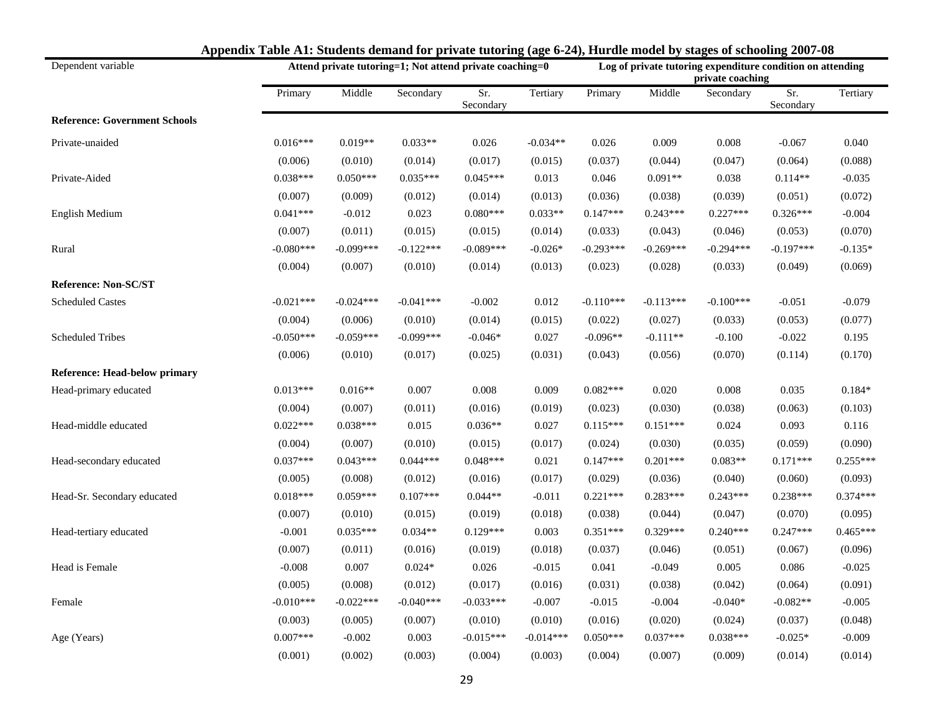| Dependent variable                   |             | Attend private tutoring=1; Not attend private coaching=0 |             |                  |             |             | Log of private tutoring expenditure condition on attending<br>private coaching |             |                  |            |  |
|--------------------------------------|-------------|----------------------------------------------------------|-------------|------------------|-------------|-------------|--------------------------------------------------------------------------------|-------------|------------------|------------|--|
|                                      | Primary     | Middle                                                   | Secondary   | Sr.<br>Secondary | Tertiary    | Primary     | Middle                                                                         | Secondary   | Sr.<br>Secondary | Tertiary   |  |
| <b>Reference: Government Schools</b> |             |                                                          |             |                  |             |             |                                                                                |             |                  |            |  |
| Private-unaided                      | $0.016***$  | $0.019**$                                                | $0.033**$   | 0.026            | $-0.034**$  | 0.026       | 0.009                                                                          | 0.008       | $-0.067$         | 0.040      |  |
|                                      | (0.006)     | (0.010)                                                  | (0.014)     | (0.017)          | (0.015)     | (0.037)     | (0.044)                                                                        | (0.047)     | (0.064)          | (0.088)    |  |
| Private-Aided                        | $0.038***$  | $0.050***$                                               | $0.035***$  | $0.045***$       | 0.013       | 0.046       | $0.091**$                                                                      | 0.038       | $0.114**$        | $-0.035$   |  |
|                                      | (0.007)     | (0.009)                                                  | (0.012)     | (0.014)          | (0.013)     | (0.036)     | (0.038)                                                                        | (0.039)     | (0.051)          | (0.072)    |  |
| English Medium                       | $0.041***$  | $-0.012$                                                 | 0.023       | $0.080***$       | $0.033**$   | $0.147***$  | $0.243***$                                                                     | $0.227***$  | $0.326***$       | $-0.004$   |  |
|                                      | (0.007)     | (0.011)                                                  | (0.015)     | (0.015)          | (0.014)     | (0.033)     | (0.043)                                                                        | (0.046)     | (0.053)          | (0.070)    |  |
| Rural                                | $-0.080***$ | $-0.099***$                                              | $-0.122***$ | $-0.089***$      | $-0.026*$   | $-0.293***$ | $-0.269***$                                                                    | $-0.294***$ | $-0.197***$      | $-0.135*$  |  |
|                                      | (0.004)     | (0.007)                                                  | (0.010)     | (0.014)          | (0.013)     | (0.023)     | (0.028)                                                                        | (0.033)     | (0.049)          | (0.069)    |  |
| <b>Reference: Non-SC/ST</b>          |             |                                                          |             |                  |             |             |                                                                                |             |                  |            |  |
| <b>Scheduled Castes</b>              | $-0.021***$ | $-0.024***$                                              | $-0.041***$ | $-0.002$         | 0.012       | $-0.110***$ | $-0.113***$                                                                    | $-0.100***$ | $-0.051$         | $-0.079$   |  |
|                                      | (0.004)     | (0.006)                                                  | (0.010)     | (0.014)          | (0.015)     | (0.022)     | (0.027)                                                                        | (0.033)     | (0.053)          | (0.077)    |  |
| <b>Scheduled Tribes</b>              | $-0.050***$ | $-0.059***$                                              | $-0.099***$ | $-0.046*$        | 0.027       | $-0.096**$  | $-0.111**$                                                                     | $-0.100$    | $-0.022$         | 0.195      |  |
|                                      | (0.006)     | (0.010)                                                  | (0.017)     | (0.025)          | (0.031)     | (0.043)     | (0.056)                                                                        | (0.070)     | (0.114)          | (0.170)    |  |
| <b>Reference: Head-below primary</b> |             |                                                          |             |                  |             |             |                                                                                |             |                  |            |  |
| Head-primary educated                | $0.013***$  | $0.016**$                                                | 0.007       | 0.008            | 0.009       | $0.082***$  | 0.020                                                                          | 0.008       | 0.035            | $0.184*$   |  |
|                                      | (0.004)     | (0.007)                                                  | (0.011)     | (0.016)          | (0.019)     | (0.023)     | (0.030)                                                                        | (0.038)     | (0.063)          | (0.103)    |  |
| Head-middle educated                 | $0.022***$  | $0.038***$                                               | 0.015       | $0.036**$        | 0.027       | $0.115***$  | $0.151***$                                                                     | 0.024       | 0.093            | 0.116      |  |
|                                      | (0.004)     | (0.007)                                                  | (0.010)     | (0.015)          | (0.017)     | (0.024)     | (0.030)                                                                        | (0.035)     | (0.059)          | (0.090)    |  |
| Head-secondary educated              | $0.037***$  | $0.043***$                                               | $0.044***$  | $0.048***$       | 0.021       | $0.147***$  | $0.201***$                                                                     | $0.083**$   | $0.171***$       | $0.255***$ |  |
|                                      | (0.005)     | (0.008)                                                  | (0.012)     | (0.016)          | (0.017)     | (0.029)     | (0.036)                                                                        | (0.040)     | (0.060)          | (0.093)    |  |
| Head-Sr. Secondary educated          | $0.018***$  | $0.059***$                                               | $0.107***$  | $0.044**$        | $-0.011$    | $0.221***$  | $0.283***$                                                                     | $0.243***$  | $0.238***$       | $0.374***$ |  |
|                                      | (0.007)     | (0.010)                                                  | (0.015)     | (0.019)          | (0.018)     | (0.038)     | (0.044)                                                                        | (0.047)     | (0.070)          | (0.095)    |  |
| Head-tertiary educated               | $-0.001$    | $0.035***$                                               | $0.034**$   | $0.129***$       | 0.003       | $0.351***$  | $0.329***$                                                                     | $0.240***$  | $0.247***$       | $0.465***$ |  |
|                                      | (0.007)     | (0.011)                                                  | (0.016)     | (0.019)          | (0.018)     | (0.037)     | (0.046)                                                                        | (0.051)     | (0.067)          | (0.096)    |  |
| Head is Female                       | $-0.008$    | 0.007                                                    | $0.024*$    | 0.026            | $-0.015$    | 0.041       | $-0.049$                                                                       | 0.005       | 0.086            | $-0.025$   |  |
|                                      | (0.005)     | (0.008)                                                  | (0.012)     | (0.017)          | (0.016)     | (0.031)     | (0.038)                                                                        | (0.042)     | (0.064)          | (0.091)    |  |
| Female                               | $-0.010***$ | $-0.022***$                                              | $-0.040***$ | $-0.033***$      | $-0.007$    | $-0.015$    | $-0.004$                                                                       | $-0.040*$   | $-0.082**$       | $-0.005$   |  |
|                                      | (0.003)     | (0.005)                                                  | (0.007)     | (0.010)          | (0.010)     | (0.016)     | (0.020)                                                                        | (0.024)     | (0.037)          | (0.048)    |  |
| Age (Years)                          | $0.007***$  | $-0.002$                                                 | 0.003       | $-0.015***$      | $-0.014***$ | $0.050***$  | $0.037***$                                                                     | $0.038***$  | $-0.025*$        | $-0.009$   |  |
|                                      | (0.001)     | (0.002)                                                  | (0.003)     | (0.004)          | (0.003)     | (0.004)     | (0.007)                                                                        | (0.009)     | (0.014)          | (0.014)    |  |

#### **Appendix Table A1: Students demand for private tutoring (age 6-24), Hurdle model by stages of schooling 2007-08**